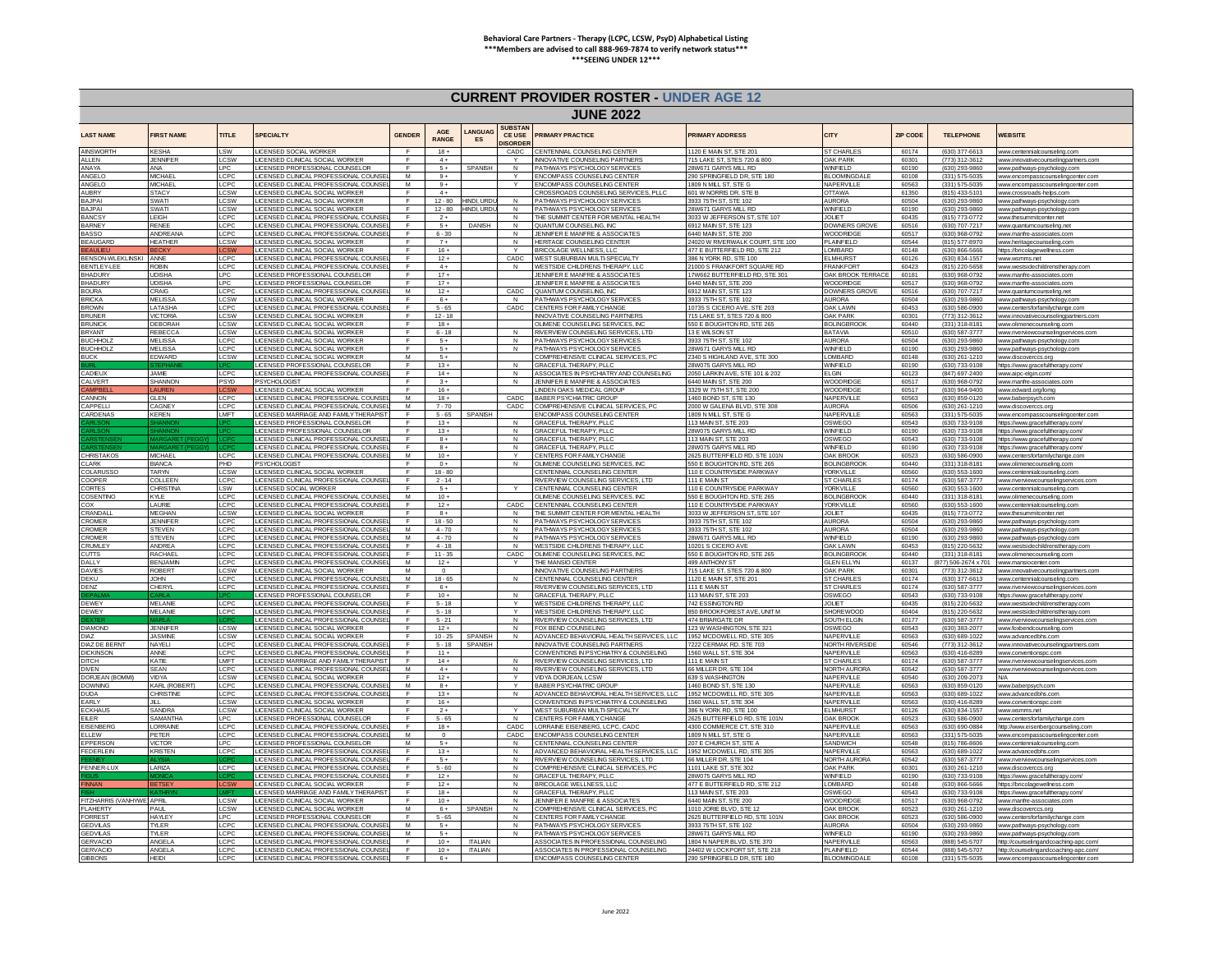### **CURRENT PROVIDER ROSTER - UNDER AGE 12**

| <u>CONNERT TROVIDENTIOUTEN CROEN ACE IE</u><br><b>JUNE 2022</b> |                                  |                   |                                                                                    |                |                            |                     |                                            |                                                                                 |                                                               |                                         |                |                                        |                                                                   |
|-----------------------------------------------------------------|----------------------------------|-------------------|------------------------------------------------------------------------------------|----------------|----------------------------|---------------------|--------------------------------------------|---------------------------------------------------------------------------------|---------------------------------------------------------------|-----------------------------------------|----------------|----------------------------------------|-------------------------------------------------------------------|
| <b>LAST NAME</b>                                                | <b>FIRST NAME</b>                | <b>TITLE</b>      | <b>SPECIALTY</b>                                                                   | <b>GENDER</b>  | <b>AGF</b><br><b>RANGE</b> | <b>ANGUAG</b><br>ES | <b>SUBSTAN</b><br>CE USE<br><b>ISORDER</b> | <b>PRIMARY PRACTICE</b>                                                         | <b>PRIMARY ADDRESS</b>                                        | <b>CITY</b>                             | ZIP CODE       | <b>TELEPHONE</b>                       | WEBSITE                                                           |
| <b>AINSWORTH</b>                                                | <b>KESHA</b>                     | SW                | <b>ICENSED SOCIAL WORKER</b>                                                       |                | $18 +$                     |                     | CADC                                       | CENTENNIAL COUNSELING CENTER                                                    | 1120 F MAIN ST, STF 201                                       | ST CHARLES                              | 60174          | (630) 377-6613                         | www.centennialcounseling.com                                      |
| ALLEN<br>ANAYA                                                  | JENNIFER<br>ANA                  | CSW<br>LPC        | LICENSED CLINICAL SOCIAL WORKER<br><b>ICENSED PROFESSIONAL COUNSELOR</b>           | -<br>F         | $4 +$<br>$5+$              | SPANISH             | $\checkmark$<br>N                          | <b>INNOVATIVE COUNSELING PARTNER</b><br>PATHWAYS PSYCHOLOGY SERVICES            | 715   AKE ST STES 720 & 8<br>28W671 GARYS MILL RD             | <b>OAK PARK</b><br>WINFIFI <sub>D</sub> | 60301<br>60190 | (773) 312-3612<br>(630) 293-9860       | www.innovativecounselingpartners.c<br>www.pathways-psychology.com |
| ANGELO                                                          | <b>MICHAEL</b>                   | CPC               | <b>JCENSED CLINICAL PROFESSIONAL COUNS</b>                                         | M              | $9+$                       |                     |                                            | NCOMPASS COUNSELING CENTER                                                      | 290 SPRINGFIELD DR. STE 180                                   | <b>ILOOMINGDA</b>                       | 60108          | (331) 575-5035                         | www.encompasscounselingcenter.com                                 |
| ANGELO                                                          | <b>MICHAEL</b>                   | LCPC              | LICENSED CLINICAL PROFESSIONAL COUNSE                                              | M              | $9+$                       |                     |                                            | ENCOMPASS COUNSELING CENTER                                                     | 1809 N MILL ST, STE G                                         | NAPERVILLE                              | 60563          | (331) 575-5035                         | www.encompasscounselingcenter.com                                 |
| <b>AUBRY</b>                                                    | <b>STACY</b>                     | CSW               | LICENSED CLINICAL SOCIAL WORKER                                                    | E              | $4+$                       |                     |                                            | ROSSROADS COUNSELING SERVICES. PLLC                                             | 601 W NORRIS DR. STE B                                        | <b>AWATTC</b>                           | 61350          | (815) 433-5101                         | www.crossroads-helps.com                                          |
| BAJPAI                                                          | <b>SWATI</b>                     | CSW               | LICENSED CLINICAL SOCIAL WORKER                                                    | F              | $12 - 80$                  | HINDLURE            | N                                          | PATHWAYS PSYCHOLOGY SERVICES                                                    | 3933 75TH ST, STE 102                                         | <b>AURORA</b>                           | 60504          | (630) 293-9860                         | www.pathways-psychology.con                                       |
| <b>BAJPAI</b><br><b>BANCSY</b>                                  | SWATI<br><b>LEIGH</b>            | <b>CSW</b><br>CPC | LICENSED CLINICAL SOCIAL WORKER<br><b>JCENSED CLINICAL PROFESSIONAL COUNSE</b>     | F              | $12 - 80$<br>$2+$          | HINDI, URD          | N<br>N                                     | PATHWAYS PSYCHOLOGY SERVICES<br>THE SUMMIT CENTER FOR MENTAL HEALTH             | 28W671 GARYS MILL RD<br>3033 W JEFFERSON ST, STE 107          | <b>WINFIELD</b><br><b>JOLIET</b>        | 60190<br>60435 | (630) 293-9860<br>(815) 773-0772       | www.pathways-psychology.com<br>www.thesummitcenter.net            |
| <b>BARNEY</b>                                                   | <b>RENEE</b>                     | <b>CPC</b>        | LICENSED CLINICAL PROFESSIONAL COUNSE                                              |                | $5+$                       | <b>DANISH</b>       | N                                          | OUANTUM COUNSELING INC.                                                         | 6912 MAIN ST, STE 123                                         | DOWNERS G                               | 60516          | (630) 707-7217                         | www.quantumcounseling.ne                                          |
| <b>BASSO</b>                                                    | <b>ANDREAN!</b>                  | CPC               | LICENSED CLINICAL PROFESSIONAL COUNSE                                              | E              | $6 - 30$                   |                     | N                                          | JENNIFER E MANERE & ASSOCIATES                                                  | 6440 MAIN ST, STE 200                                         | WOODRIDGE                               | 60517          | (630) 968-0792                         | www.manfre-associates.com                                         |
| <b>BEAUGARI</b>                                                 | <b>HEATHER</b>                   | CSW               | ICENSED CLINICAL SOCIAL WORKER                                                     | $\blacksquare$ | $7+$                       |                     | $\mathbf{N}$                               | <b>IERITAGE COUNSELING CENTER</b>                                               | 24020 W RMERWALK COURT, STE 100                               | PLAINFIELD                              | 60544          | (815) 577-8970                         | www.heritagecounseling.cor                                        |
| <b>BEAULIEU</b>                                                 | <b>BECKY</b>                     |                   | LICENSED CLINICAL SOCIAL WORKER                                                    |                | $16 +$                     |                     |                                            | BRICOLAGE WELLNESS, LLC                                                         | 477 E BUTTERFIELD RD, STE 21                                  | <b>OMBARD</b>                           | 60148          | (630) 866-5666                         | https://bricolagewellness.co                                      |
| <b>BENSON-WLEKLINSKI</b>                                        | ANNE                             | CPC               | <b>JCENSED CLINICAL PROFESSIONAL COUNSE</b>                                        | F<br>F.        | $12 +$                     |                     | CADC<br>N                                  | <b><i>NEST SUBURBAN MULTI-SPECIALTY</i></b>                                     | 386 N YORK RD, STE 100                                        | <b>ELMHURST</b><br><b>FRANKFORT</b>     | 60126          | (630) 834-1557                         | www.wsmms.net                                                     |
| BENTLEY-LEI<br><b>BHADURY</b>                                   | <b>ROBIN</b><br><b>UDISHA</b>    | <b>CPC</b><br>PC. | LICENSED CLINICAL PROFESSIONAL COUNSE<br>LICENSED PROFESSIONAL COUNSELOR           | E.             | $4+$<br>$17 +$             |                     |                                            | WESTSIDE CHI DRENS THERAPY LLC<br><b>JENNIFER E MANFRE &amp; ASSOCIATES</b>     | 21000 S FRANKFORT SOUARE RD<br>17W662 BUTTERFIELD RD, STE 301 | <b>OAK BROOK TERRACI</b>                | 60423<br>60181 | (815) 220-5658<br>$(630)$ 968-0792     | www.westsidechildrenstherapy.c<br>www.manfre-associates.com       |
| <b>BHADUR</b>                                                   | <b>UDISHA</b>                    |                   | ICENSED PROFESSIONAL COUNSELOR                                                     | F              | $17+$                      |                     |                                            | ENNIFER E MANFRE & ASSOCIATES                                                   | 6440 MAIN ST, STE 200                                         | WOODRIDG                                | 60517          | (630) 968-0792                         | www.manfre-associates.cor                                         |
| <b>BOURA</b>                                                    | CRAIG                            | LCPC              | LICENSED CLINICAL PROFESSIONAL COUNS                                               | M              | $12 +$                     |                     | CADC                                       | QUANTUM COUNSELING, INC.                                                        | 6912 MAIN ST, STE 123                                         | <b>DOWNERS GRO</b>                      | 60516          | (630) 707-7217                         | www.quantumcounseling.net                                         |
| <b>BRICKA</b>                                                   | <b>MELISSA</b>                   | LCSW              | LICENSED CLINICAL SOCIAL WORKER                                                    | F.             | $6+$                       |                     | N                                          | PATHWAYS PSYCHOLOGY SERVICES                                                    | 3933 75TH ST, STE 102                                         | <b>AURORA</b>                           | 60504          | (630) 293-9860                         | www.pathways-psychology.com                                       |
| <b>BROWN</b>                                                    | <b>I ATASHA</b>                  | CPC               | LICENSED CLINICAL PROFESSIONAL COUNSE                                              | <b>F</b>       | $5 - 65$                   |                     | CADC                                       | CENTERS FOR FAMILY CHANGE                                                       | 10735 S CICERO AVE STE 203                                    | OAK I AWN                               | 60453          | (630) 586-0900                         | www.centersforfamilychange.cor                                    |
| <b>BRUNER</b>                                                   | <b>VICTORIA</b>                  | CSW               | LICENSED CLINICAL SOCIAL WORKER                                                    | F              | $12 - 18$                  |                     |                                            | INNOVATIVE COUNSELING PARTNERS                                                  | 715   AKE ST STES 720 & 800                                   | <b>DAK PARK</b>                         | 60301          | (773) 312-3612                         | www.innovativecounselingpartners.com                              |
| <b>BRUNICK</b><br><b>BRYANT</b>                                 | <b>DEBORAH</b><br><b>REBECCA</b> | CSW<br>CSW        | <b>ICENSED CLINICAL SOCIAL WORKER</b><br><b>ICENSED CLINICAL SOCIAL WORKER</b>     | E              | $18 +$<br>$6 - 18$         |                     |                                            | I IMENE COUNSELING SERVICES. INC.<br>RIVERVIEW COUNSELING SERVICES, LTD         | 50 F BOUGHTON RD STE 26<br>13 E WILSON ST                     | <b>OI INGBRO</b><br><b>BATAVIA</b>      | 60440<br>60510 | (331) 318-8181<br>(630) 587-3777       | www.olimenecounseling.com<br>www.riverviewcounselingservices.c    |
| <b>BUCHHOL</b>                                                  | MELISSA                          | CPC               | <b>ICENSED CLINICAL SOCIAL WORKER</b>                                              | E              | $5+$                       |                     | $\mathsf{N}$                               | PATHWAYS PSYCHOLOGY SERVICES                                                    | 3933 75TH ST. STE 102                                         | <b>AURORA</b>                           | 60504          | (630) 293-9860                         | www.pathways-psychology.com                                       |
| <b>BUCHHOL2</b>                                                 | <b>MELISSA</b>                   | CPC               | <b>ICENSED CLINICAL SOCIAL WORKER</b>                                              | $\mathbf{F}$   | $5 +$                      |                     | N                                          | PATHWAYS PSYCHOLOGY SERVICES                                                    | <b>8W671 GARYS MILL RD</b>                                    | WINFIELD                                | 60190          | (630) 293-9860                         | www.pathways-psycholo                                             |
| <b>BUCK</b>                                                     | EDWARD                           | .csw              | <b>ICENSED CLINICAL SOCIAL WORKER</b>                                              | M              | $5+$                       |                     |                                            | COMPREHENSIVE CLINICAL SERVICES, PC                                             | 2340 S HIGHLAND AVE, STE 300                                  | OMBARD                                  | 60148          | (630) 261-1210                         | www.discoverccs.or                                                |
|                                                                 |                                  |                   | <b>ICENSED PROFESSIONAL COUNSELOR</b>                                              | E              | $13 +$                     |                     | $\mathsf{N}$                               | <b>GRACEFUL THERAPY, PLLC</b>                                                   | 28W075 GARYS MILL RD                                          | WINFIELD                                | 60190          | (630) 733-9108                         | https://www.gracefultherapv.com                                   |
| <b>ADIEUX</b>                                                   | <b>JAMIE</b>                     | LCPC              | LICENSED CLINICAL PROFESSIONAL COUNSE                                              | F.             | $14 +$                     |                     | N                                          | ASSOCIATES IN PSYCHIATRY AND COUNSELING                                         | 2050 LARKIN AVE, STE 101 & 20                                 | <b>ELGIN</b>                            | 60123          | (847) 697-2400                         | www.aipc-elgin.com/                                               |
| CAI VERT                                                        | SHANNON                          | PSYD.             | PSYCHOLOGIST                                                                       | F<br>F.        | $3+$                       |                     | $\mathsf{N}$                               | <b>IFNNIFFR F MANERE &amp; ASSOCIATES</b>                                       | 6440 MAIN ST. STE 200<br>3329 W 75TH ST, STE 200              | WOODRIDGE                               | 60517          | (630) 968-0792                         | www.manfre-associates.com                                         |
| <b>AMPBI</b><br><b>ANNON</b>                                    | LAUREN<br><b>GLEN</b>            | <b>CPC</b>        | LICENSED CLINICAL SOCIAL WORKER<br><b>JCENSED CLINICAL PROFESSIONAL COUNS</b>      | M              | $16 +$<br>$18 +$           |                     | CADC                                       | INDEN OAKS MEDICAL GROUP<br><b>BABER PSYCHIATRIC GROUP</b>                      | 1460 BOND ST, STE 130                                         | <b>WOODRIDGE</b><br>NAPERVILLE          | 60517<br>60563 | (630) 964-9400<br>(630) 859-0120       | www.edward.org/lomo<br>www.baberosvch.con                         |
| <b>APPELLI</b>                                                  | CAGNEY                           | CPC               | LICENSED CLINICAL PROFESSIONAL COUNSE                                              | M              | $7 - 70$                   |                     | CADC                                       | COMPREHENSIVE CLINICAL SERVICES, PC                                             | 2000 W GALENA BLVD, STE 308                                   | <b>AURORA</b>                           | 60506          | (630) 261-1210                         | www.discoverccs.org                                               |
| CARDENAS                                                        | KEREN                            | <b>IMET</b>       | ICENSED MARRIAGE AND FAMILY THERAPIST                                              | $\blacksquare$ | $5 - 65$                   |                     |                                            | <b>ENCOMPASS COUNSELING CENTER</b>                                              | 1809 N MILL ST STE G                                          | NAPERVILL                               | 60563          | (331) 575-5035                         | www.encompasscounselingcenter                                     |
|                                                                 |                                  |                   | ICENSED PROFESSIONAL COUNSELOR                                                     | F              | $13+$                      |                     | N                                          | <b>GRACEFUL THERAPY, PLLC</b>                                                   | 113 MAIN ST, STE 203                                          | OSWEGO                                  | 60543          | (630) 733-9108                         | https://www.gracefultherapy.com/                                  |
|                                                                 |                                  |                   | ICENSED PROFESSIONAL COUNSELOR                                                     | F.             | $13 +$                     |                     | $\mathsf{N}$                               | RACEFUL THERAPY, PLLO                                                           | 28W075 GARYS MILL RD                                          | WINFIELD                                | 60190          | (630) 733-9108                         | https://www.gracefultherapv.cor                                   |
|                                                                 |                                  |                   | ICENSED CLINICAL PROFESSIONAL COUN                                                 |                | $8+$                       |                     |                                            | <b>SRACEFUL THERAPY PLU</b>                                                     | 113 MAIN ST, STE 203                                          | OSWEGO                                  | 60543          | (630) 733-9108                         | https://www.gracefultherapy.com                                   |
| CHRISTAKO:                                                      | <b>MICHAEL</b>                   | CPC               | LICENSED CLINICAL PROFESSIONAL COUNSE<br>LICENSED CLINICAL PROFESSIONAL COUNSE     | <b>F</b><br>M  | $8+$<br>$10 +$             |                     | $\mathsf{N}$<br>$\vee$                     | GRACEFUL THERAPY PLLC<br>CENTERS FOR FAMILY CHANGE                              | 28W075 GARYS MILL RD<br>2625 BUTTERFIELD RD, STE 101N         | WINFIFI D<br><b>OAK BROO</b>            | 60190<br>60523 | (630) 733-9108<br>(630) 586-0900       | https://www.gracefultherany.com                                   |
| <b>CLARK</b>                                                    | <b>BIANCA</b>                    | PHD               | <b>SYCHOLOGIST</b>                                                                 | F              | $0+$                       |                     | N                                          | OLIMENE COUNSELING SERVICES, INC                                                | 550 E BOUGHTON RD, STE 265                                    | <b>BOLINGBROOK</b>                      | 60440          | (331) 318-8181                         | www.centersforfamilychange.co<br>www.olimenecounseling.con        |
| <b>OLARUSS</b>                                                  | TARYN                            | <b>CSW</b>        | LICENSED CLINICAL SOCIAL WORKER                                                    |                | $18 - 80$                  |                     |                                            | ENTENNIAL COUNSELING CENTER                                                     | 10 E COUNTRYSIDE PARKWAY                                      | <b>ORKVILLE</b>                         | 60560          | (630) 553-1600                         | www.centennialcounseling.con                                      |
| COOPER                                                          | COLLEEN                          | LCPC              | LICENSED CLINICAL PROFESSIONAL COUNSE                                              |                | $2 - 14$                   |                     |                                            | RIVERVIEW COUNSELING SERVICES. LTD                                              | 111 E MAIN ST                                                 | <b>ST CHARLES</b>                       | 60174          | (630) 587-3777                         | www.riverviewcounselingservices                                   |
| <b>CORTES</b>                                                   | <b>CHRISTINA</b>                 | <b>SW</b>         | LICENSED SOCIAL WORKER                                                             | E.             | $-5+$                      |                     |                                            | CENTENNIAL COUNSELING CENTER                                                    | 110 F COUNTRYSIDE PARKWAY                                     | YORK VII I F                            | 60560          | (630) 553-1600                         | www.centennialcounseling.com                                      |
| OSENTING                                                        | <b>KYIF</b>                      | CPC               | LICENSED CLINICAL PROFESSIONAL COLINSE                                             | M              | $10 +$                     |                     |                                            | OLIMENE COLINSELING SERVICES INC                                                | 550 F ROLIGHTON RD STE 265                                    | BOLINGBROO                              | 60440          | (331) 318-8181                         | www.olimenecounseling.com                                         |
| OX<br><b>RANDAL</b>                                             | LAURIE<br><b>MEGHAN</b>          | CPC<br>CSW        | LICENSED CLINICAL PROFESSIONAL COUNSE<br><b>ICENSED CLINICAL SOCIAL WORKER</b>     | F.<br>E        | $12 +$<br>$8+$             |                     | CADC<br>$\mathbf N$                        | CENTENNIAL COUNSELING CENTER<br>HE SUMMIT CENTER FOR MENTAL HEALTH              | 110 E COUNTRYSIDE PARKWAY<br>3033 W JEFFERSON ST, STE 107     | YORKVILLE<br><b>JOLIET</b>              | 60560<br>60435 | (630) 553-1600<br>(815) 773-0772       | www.centennialcounseling.co                                       |
| <b>ROMER</b>                                                    | JENNIFER                         | CPC               | <b>ICENSED CLINICAL PROFESSIONAL COUNSE</b>                                        |                | $18 - 50$                  |                     | $\mathbf{N}$                               | PATHWAYS PSYCHOLOGY SERVICES                                                    | 3933 75TH ST. STE 102                                         | <b>AURORA</b>                           | 60504          | (630) 293-9860                         | www.thesummitcenter.net<br>www.pathways-psychology                |
| ROMER                                                           | <b>STEVEN</b>                    | CPC               | <b>ICENSED CLINICAL PROFESSIONAL COUNSE</b>                                        | M              | 4.70                       |                     | N                                          | PATHWAYS PSYCHOLOGY SERVICES                                                    | 3933 75TH ST. STE 102                                         | ALIRORA                                 | 60504          | (630) 293-9860                         | www.pathways-psychology.cor                                       |
| ROMER                                                           | <b>STEVEN</b>                    | CPC               | ICENSED CLINICAL PROFESSIONAL COUNS                                                | M              | $4 - 70$                   |                     |                                            | PATHWAYS PSYCHOLOGY SERVICES                                                    | 28W671 GARYS MILL RD                                          | WINFIELD                                | 60190          | (630) 293-9860                         | www.pathways-psychology.cor                                       |
| <b>RUMLE</b>                                                    | <b>ANDREA</b>                    | LCPC              | <b>JCENSED CLINICAL PROFESSIONAL COUNS</b>                                         | E              | $4 - 18$                   |                     | $\mathsf{N}$                               | WESTSIDE CHILDRENS THERAPY, LL                                                  | 10201 S CICERO AVE                                            | DAK LAWN                                | 60453          | (815) 220-5632                         | www.westsidechildrenstherapy.                                     |
| <b>UTTS</b>                                                     | RACHAE                           | <b>CPC</b>        | <b>JCENSED CLINICAL PROFESSIONAL COUNSE</b>                                        |                | $11 - 35$                  |                     | CADC                                       | <b>ILIMENE COUNSELING SERVICES, INC.</b>                                        | 550 E BOUGHTON RD, STE 265                                    | <b>BOLINGBROOK</b>                      | 60440          | (331) 318-8181                         | www.olimenecounseling.com                                         |
| DALLY<br>DAVIES                                                 | <b>BENJAMIN</b><br><b>ROBERT</b> | <b>CPC</b><br>CSW | LICENSED CLINICAL PROFESSIONAL COUNSE<br>LICENSED CLINICAL SOCIAL WORKER           | M<br>M         | $12+$<br>$\overline{0}$    |                     | $\vee$                                     | THE MANSIO CENTER<br>INNOVATIVE COUNSELING PARTNERS                             | 499 ANTHONY ST<br>715   AKE ST STES 720 & 800                 | GLEN FLLYN<br><b>OAK PARK</b>           | 60137<br>60301 | (877) 506-2674 x 701<br>(773) 312-3612 | www.mansiocenter.com<br>www.innovativecounselingpartners.com      |
| DEKU                                                            | <b>JOHN</b>                      |                   | ICENSED CLINICAL PROFESSIONAL COUNS                                                | M              | $18 - 65$                  |                     |                                            | ENTENNIAL COUNSELING CENTER                                                     | 120 E MAIN ST. STE 201                                        | <b>T CHARLE:</b>                        | 60174          | (630) 377-6613                         | www.centennialcounseling.con                                      |
| DENZ                                                            | CHERY                            | LCPC              | <b>JCENSED CLINICAL PROFESSIONAL COUNSE</b>                                        |                | $6+$                       |                     |                                            | RIVERVIEW COUNSELING SERVICES, LTD                                              | 111 E MAIN ST                                                 | <b>ST CHARLES</b>                       | 60174          | (630) 587-3777                         | www.riverviewcounselingservices.cor                               |
|                                                                 |                                  |                   | ICENSED PROFESSIONAL COUNSELOR                                                     | E              | $10 +$                     |                     | $\mathsf{N}$                               | <b>GRACEFUL THERAPY. PLLC</b>                                                   | 13 MAIN ST, STE 203                                           | OSWEGO                                  | 60543          | (630) 733-9108                         | https://www.gracefultherapv.com/                                  |
| <b>DEWEY</b>                                                    | MEI ANIE                         | <b>CPC</b>        | LICENSED CLINICAL PROFESSIONAL COUNSE                                              | F.             | $5 - 18$                   |                     | $\vee$                                     | WESTSIDE CHI DRENS THERAPY LLC                                                  | 742 ESSINGTON RD                                              | <b>JOLIET</b>                           | 60435          | (815) 220-5632                         | www.westsidechildrenstherany.com                                  |
| DEWEY                                                           | <b>MFI ANIF</b>                  | LCPC              | ICENSED CLINICAL PROFESSIONAL COUNS                                                | $\blacksquare$ | $5 - 18$                   |                     | $\checkmark$                               | WESTSIDE CHILDRENS THERAPY, LLO                                                 | 850 BROOKFOREST AVE, UNIT M                                   | SHOREWOOD                               | 60404          | (815) 220-5632                         | www.westsidechildrenstherapy.cor                                  |
| <b>DIAMOND</b>                                                  | <b>JENNIFEI</b>                  | LCSW              | ICENSED CLINICAL PROFESSIONAL COUNS<br>LICENSED CLINICAL SOCIAL WORKER             |                | $5 - 21$<br>$12 +$         |                     | N                                          | RIVERVIEW COUNSELING SERVICES, LTD<br>FOX BEND COUNSELING                       | 474 BRIARGATE DR<br>123 W WASHINGTON, STE 321                 | OUTH FLGIN<br>OSWEGO                    | 60177<br>60543 | (630) 587-3777<br>(630) 383-2077       | www.riverviewcounselinaservices.co<br>www.foxbendcounseling.com   |
| DIA7                                                            | <b>JASMINE</b>                   | CSW               | LICENSED CLINICAL SOCIAL WORKER                                                    | F              | $10 - 25$                  | SPANISH             | N                                          | ADVANCED BEHAVIORAL HEALTH SERVICES, LLC                                        | 1952 MCDOWELL RD, STE 305                                     | NAPERVILLE                              | 60563          | (630) 689-1022                         | www.advancedbhs.com                                               |
| <b>DIAZ DE BERNT</b>                                            | NAYEL I                          | CPC               | LICENSED CLINICAL PROFESSIONAL COLINSE                                             | $\blacksquare$ | 5.18                       | SPANISH             |                                            | <b>INNOVATIVE COUNSELING PARTNERS</b>                                           | 7222 CERMAK RD, STE 703                                       | NORTH RIVERSID                          | 60546          | (773) 312-3612                         | www.innovativecounselingpartners.com                              |
| <b>DICKINSON</b>                                                | ANNE                             | <b>CPC</b>        | <b>JCENSED CLINICAL PROFESSIONAL COUNSE</b>                                        | F              | $11 +$                     |                     |                                            | CONVENTIONS IN PSYCHIATRY & COUNSELING                                          | 1560 WALL ST, STE 304                                         | NAPERVILLE                              | 60563          | (630) 416-8289                         | www.conventionspc.cor                                             |
| <b>DITCH</b>                                                    | KATIE                            | <b>MFT</b>        | LICENSED MARRIAGE AND FAMILY THERAPIS'                                             | E              | $14 +$                     |                     | N                                          | RIVERVIEW COUNSELING SERVICES, LTD                                              | 111 F MAIN ST                                                 | <b>ST CHARLES</b>                       | 60174          | (630) 587-3777                         | www.riverviewcounselingservices.com                               |
| <b>DIVEN</b><br>DORJEAN (BOMMI)                                 | SFAN<br><b>VIDYA</b>             | CPC<br>CSW        | LICENSED CLINICAL PROFESSIONAL COUNSE<br>LICENSED CLINICAL SOCIAL WORKER           | M<br>F         | $4+$<br>$12+$              |                     | N<br>Y                                     | RIVERVIEW COUNSELING SERVICES LTD<br>VIDYA DORJEAN LCSW                         | 66 MILLER DR. STE 104<br>639 S WASHINGTON                     | NORTH AUROR<br>NAPERVILLE               | 60542<br>60540 | (630) 587-3777<br>(630) 209-2073       | www.riverviewcounselingservices.com<br>N/A                        |
| <b>DOWNING</b>                                                  | <b>KARL (ROBERT)</b>             | CPC               | ICENSED CLINICAL PROFESSIONAL COUNSE                                               | M              | $8+$                       |                     | $\vee$                                     | <b>BABER PSYCHIATRIC GROUP</b>                                                  | 1460 BOND ST, STE 130                                         | NAPERVILLE                              | 60563          | (630) 859-0120                         | www.baberpsych.con                                                |
| <b>JUDA</b>                                                     | <b>CHRISTINE</b>                 | CPC               | ICENSED CLINICAL PROFESSIONAL COUNS                                                |                | $13 +$                     |                     | $\overline{N}$                             | ADVANCED BEHAVIORAL HEALTH SERVICES, LLO                                        | 1952 MCDOWELL RD, STE 30                                      | NAPERVILLE                              | 60563          | (630) 689-1022                         | www.advancedbhs.com                                               |
| EARLY                                                           | JII 1                            | CSW               | LICENSED CLINICAL SOCIAL WORKER                                                    | E              | $16 +$                     |                     |                                            | CONVENTIONS IN PSYCHIATRY & COUNSELING                                          | 1560 WALL ST, STE 304                                         | NAPERVILLE                              | 60563          | (630) 416-8289                         | www.conventionspc.con                                             |
| <b>FCKHALIS</b>                                                 | SANDRA                           | CSW               | ICENSED CLINICAL SOCIAL WORKER                                                     | $\mathbf{r}$   | $2 +$                      |                     |                                            | WEST SHRHRRAN MHI TLSPECIAL TV                                                  | 386 N YORK RD STE 100                                         | <b>FLMHURST</b>                         | 60126          | (630) 834-1557                         | www.wsmms.net                                                     |
| <b>ELER</b>                                                     | SAMANTHA                         | <b>PC</b>         | ICENSED PROFESSIONAL COUNSELOR                                                     | $\mathbf{F}$   | $5 - 65$                   |                     | N                                          | CENTERS FOR FAMILY CHANGE                                                       | 2625 BUTTERFIELD RD, STE 101N                                 | OAK BROOK                               | 60523          | (630) 586-0900                         | www.centersforfamilychange.com                                    |
| <b>EISENBERG</b><br><b>FLLEW</b>                                | LORRAINE<br>PETER                | CPC<br>CPC        | <b>JCENSED CLINICAL PROFESSIONAL COUNSE</b><br>ICENSED CLINICAL PROFESSIONAL COUNS | F.<br>M        | $18 +$<br>$\Omega$         |                     | CADC<br>CADC                               | ORRAINE EISENBERG, LCPC, CADO<br>NCOMPASS COUNSELING CENTER                     | 4300 COMMERCE CT, STE 310<br>1809 N MILL ST. STE G            | NAPERVILLE                              | 60563<br>60563 | (630) 690-0884<br>$(331) 575 - 5035$   | http://www.eisenberacounseling.cor                                |
| <b>FPPFRSON</b>                                                 | <b>VICTOR</b>                    | PC.               | <b>ICENSED PROFESSIONAL COUNSELOR</b>                                              | M              | $5+$                       |                     | N                                          | CENTENNIAL COUNSELING CENTER                                                    | 207 F CHURCH ST. STE A                                        | NAPERVILLE<br>SANDWICH                  | 60548          | (815) 786-8606                         | www.encompasscounselingcenter.co<br>www.centennialcounseling.com  |
| <b>FEDERLEIN</b>                                                | <b>KRISTEN</b>                   | LCPC              | LICENSED CLINICAL PROFESSIONAL COLINSE                                             | F.             | $13 +$                     |                     | N                                          | ADVANCED BEHAVIORAL HEALTH SERVICES LLC                                         | 1952 MCDOWELL RD STE 30                                       | NAPERVILLE                              | 60563          | (630) 689-1022                         | www.advancedbbs.com                                               |
|                                                                 |                                  |                   | ICENSED CLINICAL PROFESSIONAL COUNSE                                               | E              | $5+$                       |                     | N                                          | RIVERVIEW COUNSELING SERVICES, LTD                                              | 66 MILLER DR, STE 104                                         | NORTH AUROR                             | 60542          | (630) 587-3777                         | www.riverviewcounselingservices.cor                               |
| <b>FENNER-LUX</b>                                               | LARIZA                           | LCPC              | <b>JCENSED CLINICAL PROFESSIONAL COUNS</b>                                         |                | $5 - 60$                   |                     | N                                          | COMPREHENSIVE CLINICAL SERVICES                                                 | 101 LAKE ST, STE 302                                          | <b>DAK PARK</b>                         | 60301          | (630) 261-1210                         | www.discoverccs.org                                               |
|                                                                 |                                  |                   | ICENSED CLINICAL PROFESSIONAL COUNSE                                               |                | $12 +$                     |                     | $\mathsf{N}$                               | <b>GRACEFUL THERAPY, PLLC</b>                                                   | 28W075 GARYS MILL RD                                          | WINFIELD                                | 60190          | (630) 733-9108                         | https://www.gracefultherapy.cor                                   |
| <b>FINNAN</b>                                                   | <b>BETSEY</b>                    | CSW               | LICENSED CLINICAL SOCIAL WORKER                                                    | F              | $12+$                      |                     | N                                          | BRICOLAGE WELLNESS LLC                                                          | 477 F BUTTERFIELD RD, STE 212                                 | OMBARD                                  | 60148          | (630) 866-5666                         | https://bricolagewellness.com                                     |
|                                                                 |                                  |                   | <b>ICENSED MARRIAGE AND FAMILY THERAPIS</b>                                        | F<br>F.        | $18 +$                     |                     | N                                          | RACEFUL THERAPY. PLLC                                                           | 113 MAIN ST, STE 203                                          | <b>SWEGO</b>                            | 60543          | (630) 733-9108                         | https://www.gracefultherapy.cor                                   |
| FITZHARRIS (VANHYWE) APRIL<br><b>FLAHERTY</b>                   | PAUL                             | LCSW<br>CSW       | <b>JCENSED CLINICAL SOCIAL WORKER</b><br><b>ICENSED CLINICAL SOCIAL WORKER</b>     | M              | $10 +$<br>$6+$             | SPANISH             | $\mathsf{N}$<br>N                          | <b>JENNIFER E MANFRE &amp; ASSOCIATES</b><br>OMPREHENSIVE CLINICAL SERVICES, PO | 6440 MAIN ST, STE 200<br>1010 JORIE BLVD, STE 12              | WOODRIDG<br><b>DAK BROOK</b>            | 60517<br>60523 | (630) 968-0792<br>(630) 261-1210       | www.manfre-associa<br>www.discoverccs.org                         |
| <b>FORREST</b>                                                  | HAY FY                           | <b>PC</b>         | <b>ICENSED PROFESSIONAL COUNSELOR</b>                                              | E              | $5 - 65$                   |                     | N                                          | CENTERS FOR FAMILY CHANGE                                                       | 2625 BUTTEREIELD RD, STE 101N                                 | <b>OAK BROOK</b>                        | 60523          | (630) 586-0900                         | www.centersforfamilycha                                           |
| <b>GEDVILAS</b>                                                 | TY FR                            | CPC               | <b>ICENSED CLINICAL PROFESSIONAL COUNSE</b>                                        | M              | $5+$                       |                     | N                                          | PATHWAYS PSYCHOLOGY SERVICES                                                    | 3933 75TH ST STE 102                                          | ALIRORA                                 | 60504          | (630) 293-9860                         | www.pathways-psychology.com                                       |
| <b>SEDVILAS</b>                                                 | <b>TYLER</b>                     | CPC               | ICENSED CLINICAL PROFESSIONAL COUNSE                                               | M              | $5+$                       |                     |                                            | PATHWAYS PSYCHOLOGY SERVICES                                                    | 28W671 GARYS MILL RD                                          | WINFIELD                                | 60190          | (630) 293-9860                         | www.pathways-psychology.con                                       |
| ERVACIO                                                         | ANGEL                            | <b>CPC</b>        | <b>JCENSED CLINICAL PROFESSIONAL COUNS</b>                                         |                | $10 +$                     | <b>ITALIAN</b>      |                                            | <b>SSOCIATES IN PROFESSIONAL COUNSELING</b>                                     | 1804 N NAPER BLVD, STE 370                                    | NAPERVILL                               | 60563          | (888) 545-5707                         | http://counselingandcoaching-apc.com                              |
| <b>GERVACIO</b>                                                 | ANGELA                           | <b>CPC</b>        | LICENSED CLINICAL PROFESSIONAL COUNSE                                              |                | $10 +$                     | <b>ITALIAN</b>      |                                            | SSOCIATES IN PROFESSIONAL COUNSELING                                            | 24402 W LOCKPORT ST. STE 218                                  | PLAINFIELD                              | 60544          | (888) 545-5707                         | http://counselingandcoaching-apc.com/                             |
| <b>GIBBONS</b>                                                  | <b>HFIDI</b>                     | LCPC              | LICENSED CLINICAL PROFESSIONAL COUNSE                                              |                | $6+$                       |                     |                                            | <b>ENCOMPASS COUNSELING CENTER</b>                                              | 290 SPRINGFIFLD DR. STE 180                                   | BI OOMINGDAI                            | 60108          | $(331) 575 - 5035$                     | www.encompasscounselingcenter.com                                 |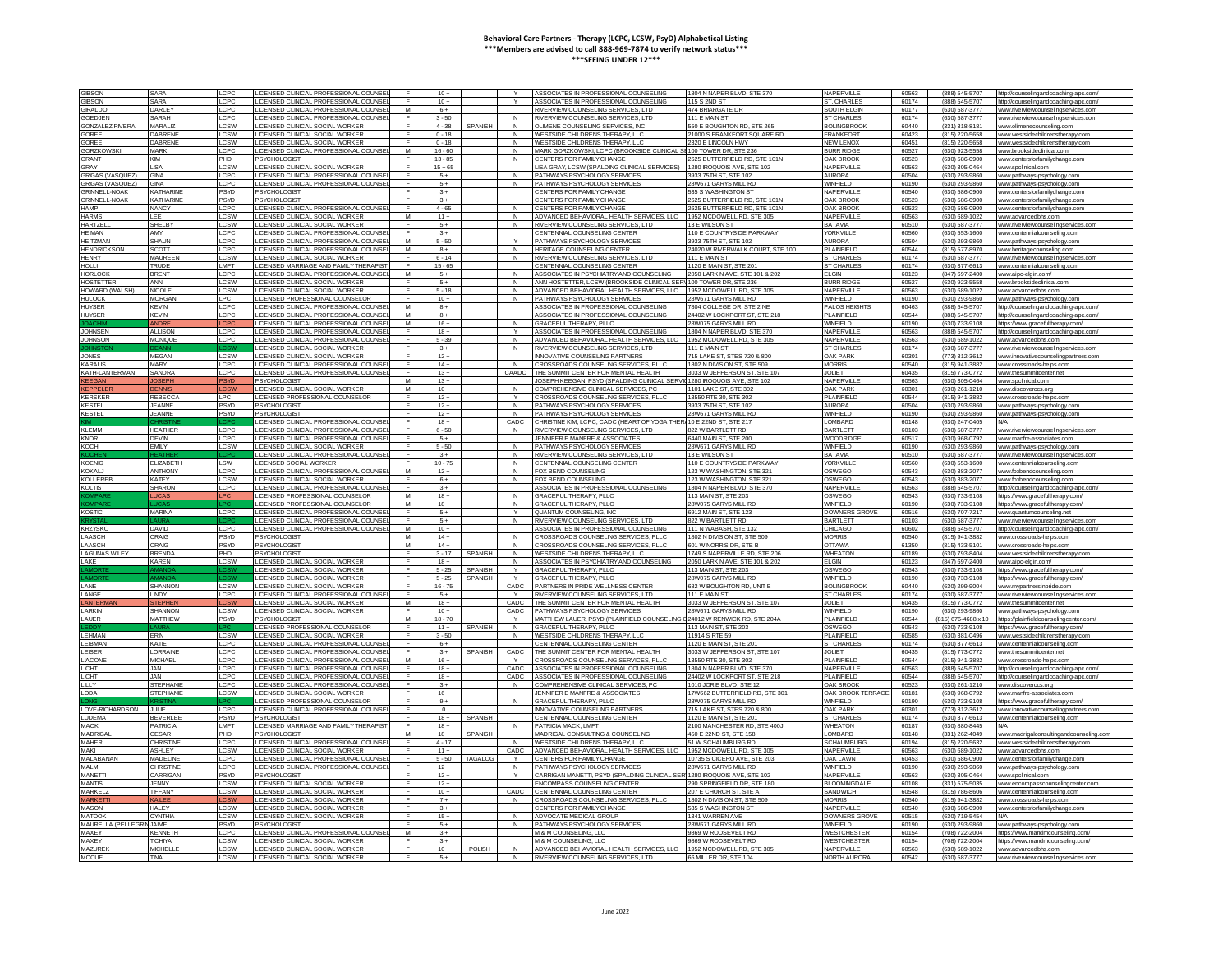| <b>GIBSON</b>                  | SARA             | CPC                | ICENSED CLINICAL PROFESSIONAL COUNS                                |                   | $10 +$    |                |                | ASSOCIATES IN PROFESSIONAL COUNSELING                                                                    | 1804 N NAPER BLVD, STE 370      | NAPERVILLE                 | 60563          | (888) 545-5707                   | http://counselingandcoaching-apc.con           |
|--------------------------------|------------------|--------------------|--------------------------------------------------------------------|-------------------|-----------|----------------|----------------|----------------------------------------------------------------------------------------------------------|---------------------------------|----------------------------|----------------|----------------------------------|------------------------------------------------|
| <b>GIBSON</b>                  | SARA             | CPC                | LICENSED CLINICAL PROFESSIONAL COUNSE                              |                   | $10 +$    |                |                | ASSOCIATES IN PROFESSIONAL COUNSELING                                                                    | 115 S 2ND ST                    | ST. CHARLES                | 60174          | (888) 545-5707                   | http://counselingandcoaching-apc.com           |
| GIRAL DO                       | DARI FY          | C <sub>PC</sub>    | <b>ICENSED CLINICAL PROFESSIONAL COUNSE</b>                        | M                 | $6+$      |                |                | RIVERVIEW COUNSELING SERVICES ITD.                                                                       | 474 BRIARGATE DR                | SOUTH FLGIN                | 60177          | (630) 587-3777                   | www.riverviewcounselingservices.com            |
| OF DJEN                        | SARAH            | CPC                | <b>ICENSED CLINICAL PROFESSIONAL COUNSE</b>                        | $\mathsf{F}$      | $3 - 50$  |                | $\mathbf{M}$   | RIVERVIEW COUNSELING SERVICES. I TD                                                                      | 111 F MAIN ST                   | <b>ST CHARLES</b>          | 60174          | (630) 587-3777                   | www.riverviewcounselingservices.com            |
| <b>GONZALEZ RIVERA</b>         | MARALIZ          | .CSW               | LICENSED CLINICAL SOCIAL WORKER                                    | F.                | $4 - 38$  | <b>SPANISH</b> | N              | OLIMENE COUNSELING SERVICES, INC                                                                         | 550 E BOUGHTON RD, STE 265      | <b>BOLINGBROOK</b>         | 60440          | (331) 318-8181                   | www.olimenecounseling.con                      |
| <b>SOREE</b>                   | <b>DABREN</b>    | CSW                | ICENSED CLINICAL SOCIAL WORKER                                     |                   | $0 - 18$  |                | N              | WESTSIDE CHILDRENS THERAPY, LLC                                                                          | 000 S FRANKFORT SQUARE RD       | <b>FRANKFORT</b>           | 60423          | (815) 220-5658                   | www.westsidechildrenstherapy.co                |
| OREE                           | <b>DABRENE</b>   | CSW                | LICENSED CLINICAL SOCIAL WORKER                                    |                   | $0 - 18$  |                | N              | WESTSIDE CHILDRENS THERAPY. LLC                                                                          | 2320 E LINCOLN HWY              | <b>NEW LENOX</b>           | 60451          | (815) 220-5658                   | www.westsidechildrenstherapy.con               |
|                                |                  |                    |                                                                    |                   |           |                |                |                                                                                                          |                                 |                            |                |                                  |                                                |
| <b>GORZKOWSK</b>               | MARK             | C <sub>PC</sub>    | LICENSED CLINICAL PROFESSIONAL COUNSE                              | M                 | $16 - 60$ |                | N              | MARK GORZKOWSKI, LCPC (BROOKSIDE CLINICAL SI 100 TOWER DR, STE 236                                       |                                 | <b>BURR RIDGE</b>          | 60527          | (630) 923-5558                   | www.brooksideclinical.com                      |
| <b>GRANT</b>                   | KIM              | PH <sub>D</sub>    | PSYCHOLOGIST                                                       | $\mathbf{r}$      | $13 - 85$ |                | N              | CENTERS FOR FAMILY CHANGE                                                                                | 2625 BUTTERFIELD RD, STE 101N   | <b>OAK BROOK</b>           | 60523          | (630) 586-0900                   | ww.centersforfamilychange                      |
| GRAY                           | 184              | CSW                | LICENSED CLINICAL SOCIAL WORKER                                    | $\blacksquare$    | $15 + 65$ |                |                | LISA GRAY, LCSW (SPALDING CLINICAL SERVICES) 1280 ROQUOIS AVE, STE 102                                   |                                 | NAPERVILLE                 | <b>60563</b>   | (630) 305-0464                   | www.spclinical.con                             |
| <b>GRIGAS (VASQUEZ)</b>        | <b>GINA</b>      | CPC                | ICENSED CLINICAL PROFESSIONAL COUNS                                |                   | $5+$      |                |                | PATHWAYS PSYCHOLOGY SERVICES                                                                             | 933 75TH ST, STE 102            | <b>AURORA</b>              | 60504          | (630) 293-9860                   | www.pathways-psychology.co                     |
| <b>RIGAS (VASQUEZ</b>          | GINA             | <b>CPC</b>         | LICENSED CLINICAL PROFESSIONAL COUNS                               |                   | $5+$      |                |                | PATHWAYS PSYCHOLOGY SERVICES                                                                             | 8W671 GARYS MILL RD             | WINFIELD                   | 60190          | (630) 293-9860                   | www.pathways-psychology.                       |
| <b>GRINNELL-NOAK</b>           | KATHARINI        | SYD                | PSYCHOLOGIST                                                       |                   | $3 +$     |                |                | CENTERS FOR FAMILY CHANGE                                                                                | 35 S WASHINGTON ST              | NAPERVILL                  | 60540          | (630) 586-0900                   | www.centersforfamilychange.com                 |
| GRINNELL-NOAK                  | <b>KATHARINE</b> | <b>PSYD</b>        | PSYCHOLOGIST                                                       | $\mathsf{F}$      | $3+$      |                |                | CENTERS FOR FAMILY CHANGE                                                                                | 2625 BUTTERFIELD RD, STE 101N   | OAK BROOK                  | 60523          | (630) 586-0900                   | www.centersforfamilychange.co                  |
| <b>HAMP</b>                    | <b>NANCY</b>     | CPC.               | LICENSED CLINICAL PROFESSIONAL COUNSE                              | E                 | $4 - 65$  |                | $\mathsf{N}$   | CENTERS FOR FAMILY CHANGE                                                                                | 2625 BUTTERFIELD RD, STE 101N   | <b>OAK BROOK</b>           | 60523          | (630) 586-0900                   | www.centersforfamilychange.com                 |
| <b>HARMS</b>                   | LEE.             | $c$ <sub>S</sub> W | LICENSED CLINICAL SOCIAL WORKER                                    | M                 | $11 +$    |                | N              | ADVANCED BEHAVIORAL HEALTH SERVICES, LLC                                                                 | 1952 MCDOWELL RD, STE 305       | NAPERVILLI                 | 60563          | (630) 689-1022                   | www.advancedbhs.cor                            |
| HARTZEL                        | SHELBY           | <b>CSW</b>         | ICENSED CLINICAL SOCIAL WORKER                                     |                   | $5+$      |                | N              | RIVERVIEW COUNSELING SERVICES, LTD                                                                       | 13 E WILSON S'                  | BATAVIA                    | 60510          | (630) 587-3777                   | www.riverviewcounselingservices.co             |
| <b>HE MAN</b>                  | AMY              | CPC                | LICENSED CLINICAL PROFESSIONAL COUNS                               |                   | $3+$      |                |                | CENTENNIAL COUNSELING CENTER                                                                             | 10 E COUNTRYSIDE PARKWAY        | <b>YORKVILLE</b>           | 60560          | (630) 553-1600                   | www.centennialcounseling.com                   |
| <b>HEITZMAN</b>                | <b>SHAUN</b>     | LCPC               | LICENSED CLINICAL PROFESSIONAL COUNSE                              | M                 | $5 - 50$  |                |                |                                                                                                          | 3933 75TH ST STE 102            |                            | 60504          |                                  |                                                |
|                                |                  |                    |                                                                    |                   |           |                |                | PATHWAYS PSYCHOLOGY SERVICES                                                                             |                                 | <b>AURORA</b>              |                | (630) 293-9860                   | www.pathways-psychology.con                    |
| <b>HENDRICKSON</b>             | SCOTT            | CPC                | LICENSED CLINICAL PROFESSIONAL COUNSE                              | M                 | $R +$     |                | N              | HERITAGE COUNSELING CENTER                                                                               | 24020 W RMERWALK COURT, STE 100 | PLAINEIELD                 | 60544          | (815) 577-8970                   | www.heritagecounseling.com                     |
| <b>HENRY</b>                   | MAUREEI          | <b>CSW</b>         | <b>ICENSED CLINICAL SOCIAL WORKER</b>                              | $\mathbf{r}$      | $6 - 14$  |                | $\mathbf{N}$   | RIVERVIEW COUNSELING SERVICES,                                                                           | 111 F MAIN ST                   | <b>ST CHARLE</b>           | 60174          | (630) 587-3777                   | www.riverviewcounselingsen                     |
| <b>HOLLI</b>                   | <b>TRUDE</b>     | <b>MFT</b>         | <b>ICENSED MARRIAGE AND FAMILY THERAPIS</b>                        | F                 | $15 - 65$ |                |                | CENTENNIAL COUNSELING CENTER                                                                             | 120 E MAIN ST, STE 20           | <b>ST CHARLES</b>          | 60174          | (630) 377-6613                   | www.centennialcounseling.co                    |
| <b>HORLOCK</b>                 | <b>BRENT</b>     | CPC                | ICENSED CLINICAL PROFESSIONAL COUI                                 | M                 | $5+$      |                |                | ASSOCIATES IN PSYCHIATRY AND COUNSELING                                                                  | 050 LARKIN AVE, STE 101 & 202   | <b>ELGIN</b>               | 60123          | (847) 697-2400                   | www.aipc-elgin.com/                            |
| <b>HOSTETTER</b>               | ANN              | CSW                | <b>ICENSED CLINICAL SOCIAL WORKER</b>                              |                   | $5 +$     |                | $\mathsf{N}$   | ANN HOSTETTER, LCSW (BROOKSIDE CLINICAL SER) 100 TOWER DR, STE 236                                       |                                 | <b>BURR RIDGE</b>          | 60527          | (630) 923-5558                   | www.brooksideclinical.co                       |
| HOWARD (WAI SH)                | NICOLE           | CSW                | LICENSED CLINICAL SOCIAL WORKER                                    |                   | $5 - 18$  |                | N              | ADVANCED BEHAVIORAL HEALTH SERVICES LLC.                                                                 | 1952 MCDOWELL RD, STE 305       | NAPERVILLE                 | 60563          | (630) 689-1022                   | www.advancedbbs.com                            |
| HULOCK                         | MORGAN           | PC.                | <b>ICENSED PROFESSIONAL COUNSELO</b>                               |                   | $10 +$    |                | N              | PATHWAYS PSYCHOLOGY SERVICES                                                                             | 8W671 GARYS MILL RD             | WINEIFLD                   | 60190          | (630) 293-9860                   | ww.pathways-psycho                             |
| <b>HUYSER</b>                  | <b>KEVIN</b>     | CPC                | LICENSED CLINICAL PROFESSIONAL COUN                                | M                 | $8+$      |                |                | ASSOCIATES IN PROFESSIONAL COUNSELING                                                                    | 7804 COLLEGE DR. STE 2 NE       | PALOS HEIGHT               | 60463          | (888) 545-5707                   | ttp://counselingandcoaching-apc.cor            |
| <b>HUYSER</b>                  | <b>EVIN</b>      | CPC                | <b>ICENSED CLINICAL PROFESSIONAL COUNS</b>                         | M                 | $8+$      |                |                | ASSOCIATES IN PROFESSIONAL COUNSELING                                                                    | 4402 W LOCKPORT ST. STE 218     | PLAINFIELD                 | 60544          | (888) 545-570                    | ttp://counselingandcoaching-apc.com            |
|                                | <b>\NDR</b>      |                    | LICENSED CLINICAL PROFESSIONAL COUNSE                              | M                 | $16 +$    |                |                | <b>GRACEFUL THERAPY, PLLC</b>                                                                            | 28W075 GARYS MILL RD            | <b>WINFIELD</b>            | 60190          | (630) 733-9108                   | https://www.gracefultherapv.com/               |
| <b>JOHNSEN</b>                 | <b>ALLISON</b>   |                    |                                                                    |                   | $18 +$    |                | Y              | ASSOCIATES IN PROFESSIONAL COUNSELING                                                                    | 1804 N NAPER BLVD, STE 370      | NAPERVILLE                 | 60563          |                                  |                                                |
|                                |                  | <b>CPC</b>         | LICENSED CLINICAL PROFESSIONAL COUNSE                              |                   |           |                |                |                                                                                                          |                                 |                            |                | (888) 545-5707                   | http://counselingandcoaching-apc.com/          |
| <b>JOHNSON</b>                 | <b>MONIOUR</b>   | LCPC               | LICENSED CLINICAL PROFESSIONAL COUNS                               |                   | $5 - 39$  |                | N              | ADVANCED BEHAVIORAL HEALTH SERVICES LLC                                                                  | 1952 MCDOWELL RD, STE 305       | NAPERVILLE                 | 60563          | (630) 689-1022                   | www.advancedbbs.com                            |
|                                |                  |                    | <b>ICENSED CLINICAL SOCIAL WORKER</b>                              | F.                | $3+$      |                | N              | RIVERVIEW COUNSELING SERVICES. LTD                                                                       | 111 F MAIN ST                   | ST CHARLES                 | 60174          | (630) 587-3777                   | www.riverviewcounselingservices.con            |
| <b>JONES</b>                   | <b>MEGAN</b>     | .csw               | LICENSED CLINICAL SOCIAL WORKER                                    |                   | $12 +$    |                |                | <b>INNOVATIVE COUNSELING PARTNERS</b>                                                                    | 15 LAKE ST, STES 720 & 800      | <b>OAK PARK</b>            | 60301          | (773) 312-3612                   | www.innovativecounselingpartners.com           |
| <b>KARALIS</b>                 | MARY             | <b>CPC</b>         | LICENSED CLINICAL PROFESSIONAL COUNS                               |                   | $14 +$    |                |                | CROSSROADS COUNSELING SERVICES, PLL                                                                      | 1802 N DIVISION ST, STE 509     | <b>MORRIS</b>              | 60540          | (815) 941-3882                   | www.crossroads-helps.co                        |
| KATH-LANTERMAN                 | SANDRA           | CPO                | ICENSED CLINICAL PROFESSIONAL COUNS                                | E                 | $13 +$    |                | CAADC          | THE SUMMIT CENTER FOR MENTAL HEALTH                                                                      | 3033 W JEFFERSON ST, STE 107    | <b>JOLIET</b>              | 60435          | (815) 773-0772                   | www.thesummitcenter.net                        |
| <b>KFFGA</b>                   | OSEPH            |                    | PSYCHOLOGIST                                                       | M                 | $13 +$    |                |                | JOSEPH KEEGAN, PSYD (SPALDING CLINICAL SERVIL1280 IROQUOIS AVE, STE 102                                  |                                 | NAPERVILL                  | 60563          | (630) 305-0464                   | www.spclinical.con                             |
| <b>EPPELER</b>                 | <b>FNNIS</b>     | CSW                | LICENSED CLINICAL SOCIAL WORKER                                    | M                 | $10 +$    |                | N              | COMPREHENSIVE CLINICAL SERVICES PC                                                                       | 1101   AKE ST STE 302           | <b>OAK PARK</b>            | 60301          | (630) 261-1210                   | www.discoverccs.org                            |
| <b>KERSKER</b>                 | <b>REBECCA</b>   | LPC                | LICENSED PROFESSIONAL COUNSELOR                                    | $\mathsf{F}$      | $12 +$    |                | $\checkmark$   | CROSSROADS COUNSELING SERVICES, PLL                                                                      | 13550 RTE 30, STE 302           | PLAINFIELD                 | 60544          | (815) 941-3882                   | www.crossroads-helps                           |
| <b>KESTEL</b>                  | <b>JEANNE</b>    | 'SYD               | <b>PSYCHOLOGIST</b>                                                |                   | $12 +$    |                | $\overline{N}$ | PATHWAYS PSYCHOLOGY SERVICES                                                                             | 3933 75TH ST, STE 102           | <b>AURORA</b>              | 60504          | (630) 293-9860                   | www.pathways-psychology.cor                    |
| <b>KESTEL</b>                  | <b>JEANNE</b>    | <b>SYD</b>         | PSYCHOLOGIST                                                       |                   | $12 +$    |                | N              | PATHWAYS PSYCHOLOGY SERVICES                                                                             | 28W671 GARYS MILL RD            | <b>WINFIELD</b>            | 60190          | (630) 293-9860                   | www.pathways-psychology.com                    |
|                                |                  |                    | LICENSED CLINICAL PROFESSIONAL COUNS                               |                   | $18 +$    |                | CADC           | CHRISTINE KIM, LCPC, CADC (HEART OF YOGA THER, 10 E 22ND ST, STE 217                                     |                                 | LOMBARD                    | 60148          | (630) 247-0405                   |                                                |
| KI FMM                         | <b>HEATHER</b>   | LCPC               | LICENSED CLINICAL PROFESSIONAL COUNS                               | E                 | $6 - 50$  |                | N              | RIVERVIEW COUNSELING SERVICES LTD.                                                                       | 822 W BARTLETT RD               | <b>BARTI ETT</b>           | 60103          | (630) 587-3777                   | www.riverviewcounselingservices.com            |
| KNOR                           | DEVIN            | CPC                |                                                                    |                   | $-5+$     |                |                | JENNIFER E MANERE & ASSOCIATES                                                                           | 6440 MAIN ST, STE 200           | WOODRIDG                   | 60517          | (630) 968-0792                   |                                                |
|                                |                  |                    | LICENSED CLINICAL PROFESSIONAL COUNSE                              |                   |           |                |                |                                                                                                          |                                 |                            |                |                                  | www.manfre-associates.com                      |
| KOCH                           | <b>EMILY</b>     | .CSW               | LICENSED CLINICAL SOCIAL WORKER                                    | $\mathbb{F}$      | $5 - 50$  |                | $\mathsf{N}$   | PATHWAYS PSYCHOLOGY SERVICES                                                                             | 28W671 GARYS MILL RD            | WINFIELD                   | 60190          | (630) 293-9860                   | www.pathways-psychology.com                    |
|                                |                  |                    | ICENSED CLINICAL PROFESSIONAL COUN                                 |                   | $3+$      |                | N              | RIVERVIEW COUNSELING SERVICES. LTD                                                                       | 13 E WILSON ST                  | <b>BATAVIA</b>             | 60510          | (630) 587-3777                   | www.riverviewcounselinaservices.o              |
| <b>KOENIG</b>                  | ELIZABETI        | <b>SW</b>          | LICENSED SOCIAL WORKER                                             |                   | $10 - 75$ |                |                | CENTENNIAL COUNSELING CENTER                                                                             | 110 E COUNTRYSIDE PARKWAY       | <b>YORKVILLI</b>           | 60560          | (630) 553-1600                   | www.centennialcounseling.co                    |
| KOKAL J                        | ANTHONY          | CPC                | LICENSED CLINICAL PROFESSIONAL COUNSE                              | M                 | $12+$     |                | N              | FOX BEND COUNSELING                                                                                      | 123 W WASHINGTON, STE 321       | OSWEGO                     | 60543          | (630) 383-2077                   | www.foxbendcounseling.com                      |
| KOLLEREI                       | KATEY            | CSW                | LICENSED CLINICAL SOCIAL WORKER                                    | $\mathbf{r}$      | 64        |                | N              | <b>FOX BEND COLINSELING</b>                                                                              | 123 W WASHINGTON STE 321        | OSWEGO                     | 60543          | (630) 383-2077                   | ww.foxbendcounseling.                          |
| <b>KOLTIS</b>                  | <b>SHARON</b>    | <b>CPC</b>         | LICENSED CLINICAL PROFESSIONAL COUNSE                              | $\mathbf{F}$      | $3+$      |                |                | ASSOCIATES IN PROFESSIONAL COUNSELING                                                                    | 1804 N NAPER BLVD, STE 370      | NAPERVILLE                 | 60563          | (888) 545-5707                   | http://counselingandcoaching-apc.com           |
|                                |                  |                    | <b>ICENSED PROFESSIONAL COUNSELOR</b>                              | M                 | $18 +$    |                | N              | <b>GRACEFUL THERAPY, PLLC</b>                                                                            | <b>13 MAIN ST. STE 203</b>      | OSWEGO                     | 60543          | (630) 733-9108                   | https://www.gracefultherapy.con                |
|                                |                  |                    | LICENSED PROFESSIONAL COUNSELOR                                    | M                 | $18 +$    |                | N              | <b>GRACEFUL THERAPY, PLLC</b>                                                                            | 28W075 GARYS MILL RD            | WINFIELD                   | 60190          | (630) 733-9108                   | https://www.gracefultherapv.com                |
| <b>KOSTIC</b>                  | <b>MARINA</b>    | LCPC               | LICENSED CLINICAL PROFESSIONAL COUNS                               | E                 | $5+$      |                | Y              | QUANTUM COUNSELING. INC                                                                                  | 6912 MAIN ST, STE 123           | <b>DOWNERS GROVE</b>       | 60516          | (630) 707-7217                   | www.quantumcounseling.net                      |
|                                |                  |                    | LICENSED CLINICAL PROFESSIONAL COUNSE                              | <b>F</b>          | $-5+$     |                | N              | RIVERVIEW COUNSELING SERVICES LTD.                                                                       | 822 W BARTLETT RD               | <b>BARTI ETT</b>           | 60103          | (630) 587-3777                   | www.riverviewcounselingservices.com            |
| <b>KRZYSKO</b>                 | <b>DAVID</b>     | LCPC               | LICENSED CLINICAL PROFESSIONAL COUNSE                              | M                 | $10+$     |                |                | ASSOCIATES IN PROFESSIONAL COUNSELING                                                                    | 111 N WARASH STF 132            | CHICAGO                    | 60602          | (888) 545-5707                   | http://counselingandcoaching-apc.com/          |
| LAASCH                         |                  |                    |                                                                    |                   |           |                | $\mathsf{N}$   |                                                                                                          | 1802 N DIVISION ST, STE 509     | <b>MORRIS</b>              | 60540          |                                  | www.crossroads-helps.                          |
|                                |                  |                    |                                                                    |                   |           |                |                | CROSSROADS COUNSELING SERVICES, PLL                                                                      |                                 |                            |                |                                  |                                                |
|                                | CRAIG            | <b>SYD</b>         | PSYCHOLOGIST                                                       | M                 | $14 +$    |                |                |                                                                                                          |                                 |                            |                | (815) 941-3882                   |                                                |
| AASCH                          | CRAIG            | 'SYD               | PSYCHOLOGIST                                                       | M                 | $14 +$    |                |                | CROSSROADS COUNSELING SERVICES, PLL                                                                      | 101 W NORRIS DR STE             | <b>OTTAWA</b>              | 61350          | (815) 433-5101                   | www.crossroads-helps.cor                       |
| <b>LAGUNAS WILEY</b>           | <b>BRENDA</b>    | <b>HD</b>          | <b>PSYCHOLOGIST</b>                                                | F                 | $3 - 17$  | <b>SPANISH</b> | N              | WESTSIDE CHILDRENS THERAPY, LLC                                                                          | 1749 S NAPERVILLE RD, STE 206   | <b>WHEATON</b>             | 60189          | (630) 793-8404                   | www.westsidechildrenstherapv.com               |
| I AKF                          | <b>KARFN</b>     | CSW                | LICENSED CLINICAL SOCIAL WORKER                                    | $\mathsf{F}$      | $18 +$    |                | $\mathbf{N}$   | ASSOCIATES IN PSYCHIATRY AND COUNSELING                                                                  | 2050   ARKIN AVE STE 101 & 20   | FI GIN                     | 60123          | (847) 697-2400                   | www.aipc-elgin.com                             |
|                                |                  |                    | LICENSED CLINICAL SOCIAL WORKER                                    | $\mathbf{r}$      | $5 - 25$  | SPANISH        | $\checkmark$   | <b>GRACEFUL THERAPY, PLLC</b>                                                                            | 113 MAIN ST, STE 203            | OSWEGO                     | 60543          | (630) 733-9108                   | https://www.gracefultherapy.com/               |
| <b>AMOI</b>                    |                  |                    | LICENSED CLINICAL SOCIAL WORKER                                    | $\mathsf{F}$      | $5 - 25$  | <b>SPANISH</b> | $\vee$         | <b>GRACEFUL THERAPY, PLLC</b>                                                                            | <b>8W075 GARYS MILL RD</b>      | WINFIELD                   | 60190          | (630) 733-9108                   | https://www.gracefultherapy.com                |
| LANE                           | SHANNON          | .csw               | LICENSED CLINICAL SOCIAL WORKER                                    | $\mathbb{F}$      | $16 - 75$ |                | CADC           | PARTNERS IN PRIDE WELLNESS CENTER                                                                        | 682 W BOUGHTON RD, UNIT B       | <b>BOLINGBROO</b>          | 60440          | (630) 299-9004                   | www.mypartnersinpride.com                      |
| LANGE                          | LINDY            | CPC                | LICENSED CLINICAL PROFESSIONAL COUNS                               |                   | $5+$      |                |                | RIVERVIEW COUNSELING SERVICES, LTD                                                                       | 111 E MAIN ST                   | <b>ST CHARLE</b>           | 60174          | (630) 587-3777                   | www.riverviewcounselingservices.con            |
| ANTER                          | <b>STEPHE</b>    |                    | LICENSED CLINICAL SOCIAL WORKER                                    | M                 | $18 +$    |                | CADC           | THE SUMMIT CENTER FOR MENTAL HEALTH                                                                      | 3033 W JEFFERSON ST. STE 101    | <b>JOLIET</b>              | 60435          | (815) 773-0772                   | www.thesummitcenter.net                        |
| <b>I ARKIN</b>                 | SHANNON          | CSW                | <b>ICENSED CLINICAL SOCIAL WORKER</b>                              | $\mathsf{F}$      | $10 +$    |                | CADC.          | PATHWAYS PSYCHOLOGY SERVICES                                                                             | 28W671 GARYS MILL RD            | WINEIFLD                   | 60190          | (630) 293-9860                   | www.pathways-psychology.com                    |
| <b>I AUFR</b>                  | <b>MATTHEW</b>   | SYD.               |                                                                    | M                 | $18 - 70$ |                |                |                                                                                                          | 24012 W RENWICK RD, STE 204A    | PLAINEIFLE                 | 60544          |                                  |                                                |
|                                |                  |                    | <b>PSYCHOLOGIST</b>                                                | E                 | $11 +$    |                |                | MATTHEW LAUER, PSYD (PLAINFIELD COUNSELING                                                               |                                 |                            |                | (815) 676-4688 x 10              | https://plainfieldcounselingcente              |
|                                |                  |                    | ICENSED PROFESSIONAL COUNSELOR                                     |                   |           | <b>SPANISH</b> | N              | <b>GRACEFUL THERAPY, PLLC</b>                                                                            | 113 MAIN ST, STE 203            | OSWEGO                     | 60543          | (630) 733-9108                   | https://www.gracefultherapy.com                |
| LEHMAN                         | ERIN             | CSW                | <b>ICENSED CLINICAL SOCIAL WORKER</b>                              |                   | $3 - 50$  |                | N              | WESTSIDE CHILDRENS THERAPY, LLC                                                                          | 914 S RTE 59                    | PLAINFIELD                 | 60585          | (630) 381-0496                   | www.westsidechildrenstherapy.o                 |
| LEIBMAN                        | KATIE            | <b>CPC</b>         | LICENSED CLINICAL PROFESSIONAL COUNS                               |                   | $6+$      |                |                | CENTENNIAL COUNSELING CENTER                                                                             | 1120 E MAIN ST, STE 201         | <b>ST CHARLE</b>           | 60174          | (630) 377-6613                   | www.centennialcounseling.cr                    |
| <b>I FISER</b>                 | <b>I ORRAINE</b> | CPC                | LICENSED CLINICAL PROFESSIONAL COUNSE                              | E                 | $3+$      | <b>SPANISH</b> | CADC           | THE SUMMIT CENTER FOR MENTAL HEALTH.                                                                     | 3033 W JEFFERSON ST. STE 107    | <b>JOLIET</b>              | 60435          | (815) 773-0772                   | www.thesummitcenter.net                        |
| LIACONE                        | <b>MICHAEL</b>   | CPC                | LICENSED CLINICAL PROFESSIONAL COUNSE                              | A.A.              | $16+$     |                | $\vee$         | CROSSROADS COUNSELING SERVICES PLLC                                                                      | 13550 RTF 30 STF 302            | PLAINEIELD                 | 60544          | (815) 941-3882                   | www.crossroads-helps.cor                       |
| <b>CHT</b>                     | JAN.             | CPC                | LICENSED CLINICAL PROFESSIONAL COUNSE                              | F.                | $18 +$    |                | CADC.          | ASSOCIATES IN PROFESSIONAL COUNSELING                                                                    | 1804 N NAPER BLVD, STE 370      | NAPERVILLE                 | 60563          | (888) 545-5707                   | http://counselingandcoaching-apc.com/          |
| LICHT                          | JAN              | CPC                | ICENSED CLINICAL PROFESSIONAL COUNS                                |                   | $18 +$    |                | CADC           | ASSOCIATES IN PROFESSIONAL COUNSELING                                                                    | 24402 W LOCKPORT ST. STE 218    | PLAINFIELD                 | 60544          | (888) 545-5707                   | http://counselingandcoaching-apc.con           |
| 111Y                           | <b>STEPHANI</b>  | <b>LCPC</b>        | LICENSED CLINICAL PROFESSIONAL COUNSE                              |                   | $3+$      |                | N              | COMPREHENSIVE CLINICAL SERVICES, PC                                                                      | 1010 JORIE BLVD, STE 12         | <b>OAK BROOK</b>           | 60523          | (630) 261-1210                   | www.discoverccs.org                            |
| LODA                           | <b>STEPHANIE</b> | LCSW               | LICENSED CLINICAL SOCIAL WORKER                                    |                   | $16 +$    |                |                | JENNIFER E MANFRE & ASSOCIATES                                                                           | 17W662 BUTTERFIELD RD, STE 301  | OAK BROOK TERRACE          | 60181          | (630) 968-0792                   | www.manfre-associates.com                      |
|                                |                  |                    | <b>ICENSED PROFESSIONAL COUNSELOR</b>                              | E.                | $9+$      |                | N              | GRACEEUL THERAPY PLLC                                                                                    | 28W075 GARYS MILL RD            | WINEIFLD                   | 60190          | (630) 733-9108                   | https://www.gracefultherapy.com                |
| LOVE-RICHARDSON                | H H F            | LCPC               |                                                                    | $\mathbf{r}$      | $\sim$    |                |                | <b>INNOVATIVE COUNSELING PARTNERS</b>                                                                    | 715 LAKE ST. STES 720 & 800     | <b>OAK PARK</b>            | 60301          | (773) 312-3612                   |                                                |
|                                |                  |                    | LICENSED CLINICAL PROFESSIONAL COUNSE                              |                   |           |                |                |                                                                                                          |                                 |                            |                |                                  | www.innovativecounselingpartners.com           |
| <b>LUDEMA</b>                  | BEVERLE          | 'SYD               | <b>SYCHOLOGIST</b>                                                 |                   | $18 +$    | <b>SPANISH</b> |                | CENTENNIAL COUNSELING CENTER                                                                             | 120 E MAIN ST, STE 201          | <b>ST CHARLE</b>           | 60174          | (630) 377-6613                   |                                                |
| <b>AACK</b>                    | PATRICIA         | LMFT               | LICENSED MARRIAGE AND FAMILY THERAPIS                              |                   | $18 +$    |                |                | PATRICIA MACK, LMFT                                                                                      | 100 MANCHESTER RD. STE 400J     | <b>WHEATON</b>             | 60187          | (630) 880-8445                   | <b>N/A</b>                                     |
| <b>MADRIGA</b>                 | CESAR            | PHD                | <b>PSYCHOLOGIST</b>                                                | M                 | $18 +$    | SPANISH        |                | MADRIGAL CONSULTING & COUNSELING                                                                         | 450 E 22ND ST, STE 158          | LOMBARD                    | 60148          | (331) 262-4049                   | www.madrigalconsultingandcounseling.con        |
| <b>MAHER</b>                   | CHRISTINI        | CPC                | LICENSED CLINICAL PROFESSIONAL COUNS                               | $\mathsf{F}$      | $4 - 17$  |                |                | WESTSIDE CHI DRENS THERAPY LLC                                                                           | 51 W SCHAUMBURG RD              | <b>SCHAUMBUR</b>           | 60194          | (815) 220-5632                   | ww.westsidechildrensthe                        |
| <b>MAKI</b>                    | ASHI EY          | CSW                | LICENSED CLINICAL SOCIAL WORKER                                    | $\mathbf{r}$      | $11 +$    |                | CADC.          | ADVANCED BEHAVIORAL HEALTH SERVICES, LLC                                                                 | 1952 MCDOWELL RD, STE 305       | NAPERVILLE                 | <b>E0563</b>   | (630) 689-1022                   | www.advancedbhs.com                            |
| MALABANAM                      | MADELINE         | CPC                | ICENSED CLINICAL PROFESSIONAL COUNS                                |                   | $5 - 50$  | TAGALC         | $\vee$         | CENTERS FOR FAMILY CHANGE                                                                                | 10735 S CICERO AVE, STE 203     | OAK LAWN                   | 60453          | (630) 586-0900                   | www.centersforfamilychange.co                  |
| MALM                           | <b>CHRISTINE</b> | <b>CPC</b>         | LICENSED CLINICAL PROFESSIONAL COUNS                               | $\mathbb{F}$      | $12 +$    |                | $\mathsf{N}$   | PATHWAYS PSYCHOLOGY SERVICES                                                                             | 28W671 GARYS MILL RD            | WINFIELD                   | 60190          | (630) 293-9860                   | www.pathways-psychology.c                      |
| <b>MANETTI</b>                 | CARRIGAN         | 'SYD               | PSYCHOLOGIST                                                       |                   | $12 +$    |                | Y              | CARRIGAN MANETTI, PSYD (SPALDING CLINICAL SER 1280 IROQUOIS AVE, STE 102                                 |                                 | NAPERVILLE                 | 60563          | (630) 305-0464                   | www.spclinical.com                             |
| <b>MANTIS</b>                  | <b>JENNY</b>     | LCSW               | LICENSED CLINICAL SOCIAL WORKER                                    | E                 | $12 +$    |                |                | <b>ENCOMPASS COUNSELING CENTER</b>                                                                       | 290 SPRINGFIELD DR. STE 180     | BLOOMINGDALE               | 60108          | (331) 575-5035                   | www.encompasscounselingcenter.com              |
| MARKEL <sub>7</sub>            | TIFFANY          | CSW                | LICENSED CLINICAL SOCIAL WORKER                                    | E                 | $10 +$    |                | CADC           | CENTENNIAL COUNSELING CENTER                                                                             | 207 F CHURCH ST. STF A          | SANDWICH                   | 60548          | (815) 786-8606                   | www.centennialcounseling.com                   |
| <b>IARKET</b>                  | <b>CAIFI</b>     |                    | ICENSED CLINICAL SOCIAL WORKER                                     |                   | $7+$      |                | N              | CROSSROADS COUNSELING SERVICES<br>PLIC                                                                   | 1802 N DMISION ST. STE 50       | <b>MORRIS</b>              | 60540          | (815) 941-3882                   | www.crossroads-helr                            |
| MASON                          | <b>HALEY</b>     | LCSW               | LICENSED CLINICAL SOCIAL WORKER                                    | E                 | $3+$      |                |                | CENTERS FOR FAMILY CHANGE                                                                                | 535 S WASHINGTON ST             | NAPERVILLE                 | 60540          | (630) 586-0900                   | www.centersforfamilychange.com                 |
|                                | <b>CYNTHIA</b>   | CSW                | ICENSED CLINICAL SOCIAL WORKER                                     |                   | $15 +$    |                | N              | ADVOCATE MEDICAL GROUI                                                                                   | 341 WARREN AVE                  | DOWNERS GROV               | 60515          | (630) 719-5454                   |                                                |
| <b>MATOOK</b>                  |                  |                    |                                                                    |                   |           |                |                |                                                                                                          |                                 |                            |                |                                  |                                                |
| <b>IAURELLA (PELLEGR</b>       | <b>JAIME</b>     | <b>SYD</b>         | <b>PSYCHOLOGIST</b>                                                |                   | $5+$      |                | N              | PATHWAYS PSYCHOLOGY SERVICES                                                                             | 28W671 GARYS MILL RD            | WINFIELD                   | 60190          | (630) 293-9860                   | www.pathways-psychology.con                    |
| MAXEY                          | <b>KENNETH</b>   | CPC                | LICENSED CLINICAL PROFESSIONAL COUNSE                              | M<br>$\mathbf{r}$ | $3+$      |                |                | M & M COUNSELING LLC                                                                                     | 9869 W ROOSEVELT RD             | <b>WESTCHESTER</b>         | 60154          | (708) 722-2004                   | https://www.mandmcounseling.com                |
| MAXEY                          | <b>TICHIYA</b>   | CSW                | LICENSED CLINICAL SOCIAL WORKER                                    |                   | $3+$      |                |                | M & M COUNSELING, LLC                                                                                    | 9869 W ROOSEVELT RD             | <b>WESTCHESTER</b>         | 60154          | (708) 722-2004                   | https://www.mandmcounseling                    |
| <b>MAZUREK</b><br><b>MCCUE</b> | MICHELLE         | <b>CSW</b>         | LICENSED CLINICAL SOCIAL WORKER<br>LICENSED CLINICAL SOCIAL WORKER |                   | $10 +$    | POLISH         | $\mathsf{N}$   | ADVANCED BEHAVIORAL HEALTH SERVICES, LLC 1952 MCDOWELL RD, STE 305<br>RIVERVIEW COUNSELING SERVICES, LTD | 66 MILLER DR. STE               | NAPERVILLE<br>NORTH AURORA | 60563<br>60542 | (630) 689-1022<br>(630) 587-3777 | www.advancedbhs.cor<br>www.riverviewcounseline |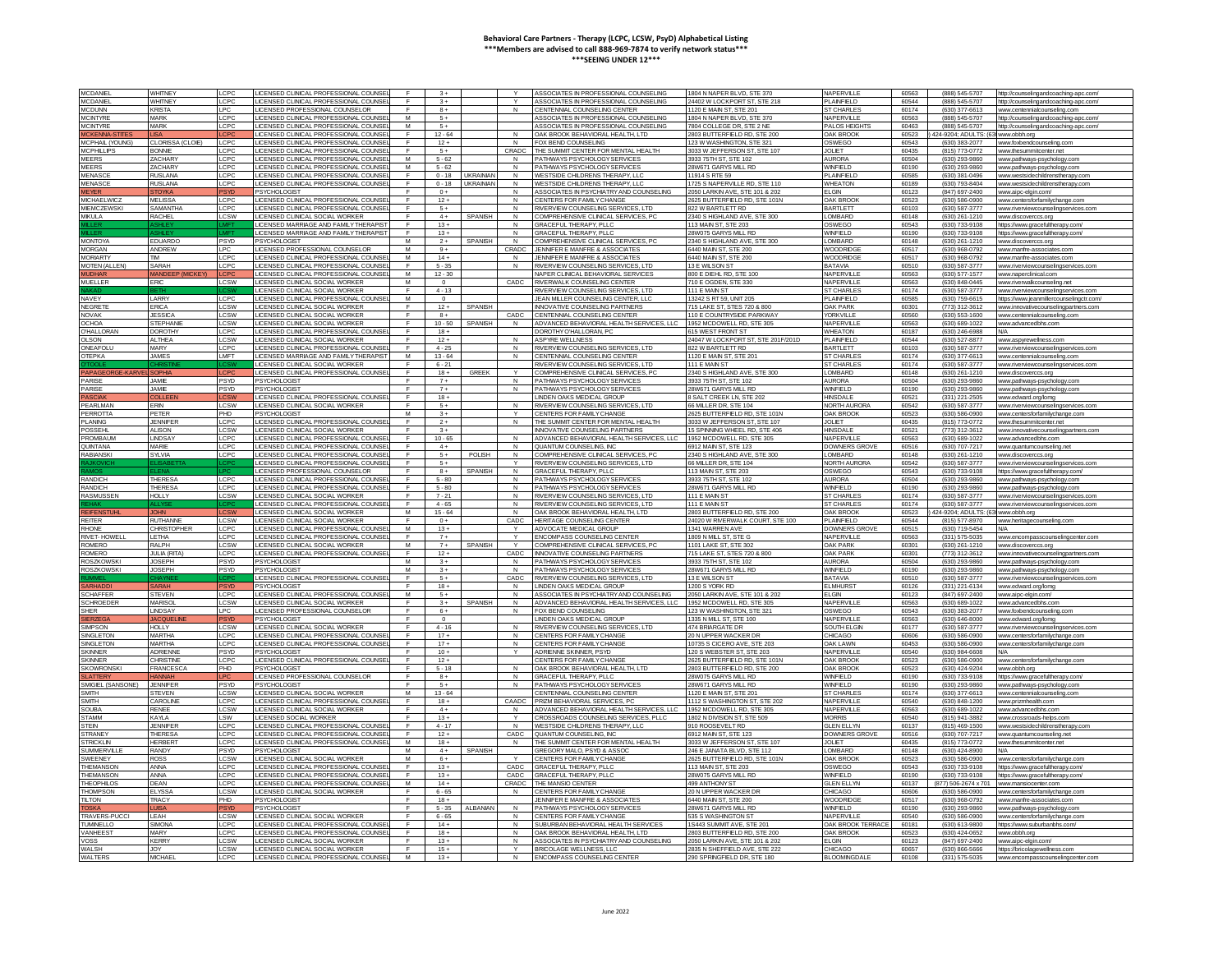| <b>MCDANIE</b>               | <b>WHITNEY</b>         | CPC             | LICENSED CLINICAL PROFESSIONAL COUNSE                                   |                     | $3+$            |                        |                        | SSOCIATES IN PROFESSIONAL COUNSELING                          | 1804 N NAPER BLVD, STE 370                                   | VAPERVILLE                     | 60563          | (888) 545-5707                       | http://counselingandcoaching-apc.com/                             |
|------------------------------|------------------------|-----------------|-------------------------------------------------------------------------|---------------------|-----------------|------------------------|------------------------|---------------------------------------------------------------|--------------------------------------------------------------|--------------------------------|----------------|--------------------------------------|-------------------------------------------------------------------|
| <b>MCDANIEI</b>              | <b>WHITNEY</b>         | LCPC            | LICENSED CLINICAL PROFESSIONAL COUNSE                                   |                     | $3+$            |                        | $\vee$                 | ASSOCIATES IN PROFESSIONAL COUNSELING                         | 24402 W LOCKPORT ST. STE 218                                 | PLAINEIELD                     | 60544          | (888) 545-5707                       | http://counselingandcoaching-apc.cor                              |
| <b>MCDI INN</b>              | <b>KRISTA</b>          | LPC             | LICENSED PROFESSIONAL COUNSELOR                                         | $\blacksquare$      | $R +$           |                        | N                      | CENTENNIAL COLINSELING CENTER                                 | 1120 F MAIN ST STE 201                                       | <b>ST CHARLES</b>              | 60174          | (630) 377-6613                       | www.centennialcounseling.com                                      |
|                              |                        |                 |                                                                         |                     |                 |                        |                        |                                                               |                                                              |                                |                |                                      |                                                                   |
| <b>MCINTYRE</b>              | MARK                   | LCPC            | LICENSED CLINICAL PROFESSIONAL COUNS                                    | M                   | $5+$            |                        |                        | SSOCIATES IN PROFESSIONAL COUNSELING                          | 1804 N NAPER BLVD, STE 370                                   | NAPERVILLE                     | 60563          | (888) 545-5707                       | http://counselingandcoaching-apc.o                                |
| <b>MCINTYRE</b>              | <b>MARK</b>            | <b>CPC</b>      | LICENSED CLINICAL PROFESSIONAL COUNS                                    | M                   | $5+$            |                        |                        | SSOCIATES IN PROFESSIONAL COUNSELING                          | 7804 COLLEGE DR. STE 2 NE                                    | PALOS HEIGHT                   | 60463          | (888) 545-5707                       | http://counselingandcoaching-apc.com                              |
| CKENNA                       |                        |                 | <b>JCENSED CLINICAL PROFESSIONAL COUNSE</b>                             |                     | $12 - 64$       |                        | N                      | AK BROOK BEHAVIORAL HEALTH, LTD                               | 2803 BUTTERFIELD RD, STE 20                                  | <b>AK BROOK</b>                | 60523          | 424-9204: ADULTS: (63                | www.obbh.org                                                      |
| <b><i>MCPHAIL (YOUNG</i></b> | <b>CLORISSA (CLOIE</b> | LCPC            | LICENSED CLINICAL PROFESSIONAL COUNSI                                   |                     | $12 +$          |                        | $\mathsf{N}$           | OX BEND COUNSELING                                            | 123 W WASHINGTON, STE 321                                    | OSWEGO                         | 60543          | (630) 383-2077                       | www.foxbendcounseling.cor                                         |
| MCPHILIPS                    | RONNIE                 | CPO             | LICENSED CLINICAL PROFESSIONAL COLINSI                                  | $\mathbf{r}$        | <b>5 a</b>      |                        | CRADC                  | THE SUMMIT CENTER FOR MENTAL HEALTH.                          | 3033 W JEFFERSON ST STE 107                                  | JOL IFT                        | 60435          | (815) 773-0772                       |                                                                   |
|                              |                        |                 |                                                                         |                     |                 |                        |                        |                                                               |                                                              |                                |                |                                      | ww.thesummitcenter.net                                            |
| MEERS                        | ZACHARY                | <b>CPC</b>      | LICENSED CLINICAL PROFESSIONAL COUNSI                                   | M                   | $5 - 62$        |                        | $\mathsf{N}$           | PATHWAYS PSYCHOLOGY SERVICES                                  | 3933 75TH ST, STE 102                                        | <b>AURORA</b>                  | 60504          | (630) 293-9860                       | ww.pathways-psychology.c                                          |
| MEERS                        | ZACHARY                | LCPC            | LICENSED CLINICAL PROFESSIONAL COUNS                                    | M                   | $5 - 62$        |                        | N                      | PATHWAYS PSYCHOLOGY SERVICES                                  | 28W671 GARYS MILL RD                                         | WINFIELD                       | 60190          | (630) 293-9860                       | ww.pathways-psychology.cor                                        |
| <b>IENASCE</b>               | <b>USLANA</b>          | CPC             | ICENSED CLINICAL PROFESSIONAL COUNS                                     |                     | $0 - 18$        | <b>JKRAINIA</b>        | $\mathsf{N}$           | VESTSIDE CHILDRENS THERAPY, LLC                               | 1914 S RTE 59                                                | <b>LAINFIELD</b>               | 60585          | (630) 381-049                        | ww.westsidechildrenstherapv.cc                                    |
| MENASCI                      | RUSLANA                | CPO             | LICENSED CLINICAL PROFESSIONAL COUNSI                                   |                     | $0 - 18$        | <b><i>IKRAINIA</i></b> |                        | <b>WESTSIDE CHILDRENS THERAPY, LLC</b>                        | 1725 S NAPERVILLE RD, STE 11                                 | <b>WHEATON</b>                 | 60189          | (630) 793-840-                       | www.westsidechildrensther                                         |
| <b>FYFR</b>                  |                        |                 | PSYCHOLOGIST                                                            |                     | $0+$            |                        | $\mathsf{N}$           |                                                               | 2050 LARKIN AVE, STE 101 & 202                               | <b>FIGIN</b>                   | 60123          | (847) 697-2400                       | www.ainc-elgin.com/                                               |
|                              | STOYKA                 | PSYT.           |                                                                         | E                   |                 |                        |                        | ASSOCIATES IN PSYCHIATRY AND COUNSELING                       |                                                              |                                |                |                                      |                                                                   |
| MICHAEL WICZ                 | MELISSA                | LCPC.           | LICENSED CLINICAL PROFESSIONAL COUNSE                                   | $\mathbf{r}$        | $12+$           |                        | $\mathsf{N}$           | CENTERS FOR FAMILY CHANGE                                     | 2625 BUTTEREIELD RD, STE 101N                                | <b>OAK BROO</b>                | 60523          | (630) 586-0900                       | www.centersforfamilychange.com                                    |
| <b>MIEMCZEWSKI</b>           | <b>SAMANTHA</b>        | LCPC            | LICENSED CLINICAL PROFESSIONAL COUNSI                                   | E                   | $5+$            |                        | N                      | RIVERVIEW COUNSELING SERVICES, LTD                            | 822 W BARTLETT RD                                            | <b>BARTLETT</b>                | 60103          | (630) 587-3777                       | www.riverviewcounselingservices.cor                               |
| <b>MIKULA</b>                | <b>RACHEL</b>          | CSW             | ICENSED CLINICAL SOCIAL WORKER                                          |                     | $4+$            | <b>SPANISH</b>         | N                      | OMPREHENSIVE CLINICAL SERVICES, PO                            | 2340 S HIGHLAND AVE, STE 300                                 | OMBARD                         | 60148          | (630) 261-1210                       | ww.discoverccs.org                                                |
|                              |                        |                 | <b>JCENSED MARRIAGE AND FAMILY THERAPIS</b>                             |                     | $13 +$          |                        |                        | RACEFUL THERAPY, PLLC                                         | 113 MAIN ST, STE 203                                         | OSWEGO                         | 60543          | (630) 733-9108                       | https://www.gracefultherapy.com                                   |
| ПF                           |                        |                 | LICENSED MARRIAGE AND FAMILY THERAPIST                                  | -F                  | $13 +$          |                        | N                      | <b>GRACEFUL THERAPY, PLLC</b>                                 | 28W075 GARYS MILL RD                                         | WINFIELD                       | 60190          |                                      |                                                                   |
|                              |                        |                 |                                                                         |                     |                 |                        |                        |                                                               |                                                              |                                |                | (630) 733-9108                       | https://www.gracefultherapv.com/                                  |
| <b>MONTOYA</b>               | <b>FDUARDO</b>         | <b>PSYD</b>     | <b>PSYCHOLOGIST</b>                                                     | M                   | $2+$            | SPANISK                | N                      | COMPREHENSIVE CLINICAL SERVICES PO                            | 2340 S HIGHLAND AVE STE 300                                  | <b>I OMBARD</b>                | 60148          | (630) 261-1210                       | www.discoverccs.org                                               |
| <b>MORGAN</b>                | ANDREW                 | LPC.            | ICENSED PROFESSIONAL COUNSELOR                                          | M                   | $9+$            |                        | CRADC.                 | <b>IFNNIFER E MANFRE &amp; ASSOCIATES</b>                     | 6440 MAIN ST. STE 200                                        | <b>WOODRIDGE</b>               | 60517          | (630) 968-0792                       | www.manfre-associates.com                                         |
| <b>MORIARTY</b>              | <b>TIM</b>             | CPC             | <b>ICENSED CLINICAL PROFESSIONAL COUNS</b>                              | M                   | $14 +$          |                        | $\mathsf{N}$           | ENNIFER E MANFRE & ASSOCIATES                                 | 6440 MAIN ST, STE 200                                        | VOODRIDG                       | 60517          | (630) 968-0792                       | www.manfre-associates.com                                         |
| <b>MOTEN (ALLE</b>           | SARAH                  | <b>CPC</b>      | <b>ICENSED CLINICAL PROFESSIONAL COUNS</b>                              |                     | $5 - 35$        |                        |                        | <b>NVERVIEW COUNSELING SERVICES. LTD</b>                      | 3 E WILSON ST                                                | BATAVIA                        | 60510          | (630) 587-3777                       | www.riverviewcounselinaservices.                                  |
|                              |                        |                 |                                                                         | M                   | $12 - 30$       |                        |                        |                                                               |                                                              | <b>JAPERVILLE</b>              | 60563          |                                      |                                                                   |
| <b>UDHAF</b>                 | <b>JANDEEP (MICKE)</b> |                 | <b>JCENSED CLINICAL PROFESSIONAL COUNS</b>                              |                     |                 |                        |                        | VAPER CLINICAL BEHAVIORAL SERVICES                            | 800 E DIEHL RD, STE 100                                      |                                |                | (630) 577-1577                       | www.naperclinical.com                                             |
| <b>MUFLLER</b>               | FRIC.                  | <b>CSW</b>      | LICENSED CLINICAL SOCIAL WORKER                                         | M                   | $\Omega$        |                        | CADC                   | RIVERWALK COUNSELING CENTER                                   | 710 F OGDEN STE 330                                          | NAPERVILLE                     | 60563          | (630) 848-0445                       | www.riverwalkcounseling.ne                                        |
|                              |                        |                 | LICENSED CLINICAL SOCIAL WORKER                                         | $\blacksquare$      | $4 - 13$        |                        |                        | RIVERVIEW COUNSELING SERVICES LTD                             | 111 F MAIN ST                                                | ST CHARLES                     | 60174          | (630) 587-3777                       | www.riverviewcounselingservices.com                               |
| <b>NAVFY</b>                 | LARRY                  | LCPC            | LICENSED CLINICAL PROFESSIONAL COUNS                                    | M                   | $\circ$         |                        |                        | <b>JEAN MILLER COUNSELING CENTER, LLC</b>                     | 13242 S RT 59, UNIT 205                                      | PI AINFIELD                    | 60585          | (630) 759-6615                       | https://www.jeanmillercounselingctr.co                            |
| NEGRETI                      | ERICA                  | CSW             | LICENSED CLINICAL SOCIAL WORKER                                         | F                   | $12 +$          | SPANIS                 |                        | NNOVATIVE COUNSELING PARTNER!                                 | 715 LAKE ST. STES 720 & 80                                   | <b>OAK PARK</b>                | 60301          | (773) 312-3612                       | ww.innovativecounselingpartners.com                               |
|                              |                        |                 |                                                                         |                     |                 |                        |                        |                                                               |                                                              |                                |                |                                      |                                                                   |
| NOVAK                        | <b>ESSICA</b>          | .CSW            | LICENSED CLINICAL SOCIAL WORKER                                         | E                   | $8+$            |                        | CADC                   | ENTENNIAL COUNSELING CENTER                                   | 110 E COUNTRYSIDE PARKWAY                                    | ORKVILLE                       | 60560          | (630) 553-1600                       | www.centennialcounseling.com                                      |
| <b>CHOA</b>                  | <b>STEPHANI</b>        | LCSW            | LICENSED CLINICAL SOCIAL WORKER                                         |                     | $10 - 50$       | SPANISH                | N                      | ADVANCED BEHAVIORAL HEALTH SERVICES. LL                       | 1952 MCDOWELL RD, STE 305                                    | NAPERVILLE                     | 60563          | (630) 689-1022                       | www.advancedbhs.com                                               |
| <b>IHALLORAN</b>             | DOROTHY                | CPC             | LICENSED CLINICAL PROFESSIONAL COUNSI                                   | E                   | $18 +$          |                        |                        | OROTHY O'HAI I ORAN, PC                                       | 615 WEST FRONT ST                                            | <b>VHEATON</b>                 | 60187          | (630) 246-6988                       | NI/A                                                              |
| <b>JI SON</b>                | AI THEA                | CSW             | LICENSED CLINICAL SOCIAL WORKER                                         | $\mathsf{F}$        | $12+$           |                        | N                      | <b>ASPYRE WELLNESS</b>                                        | 24047 W LOCKPORT ST, STE 201F/201D                           | PI AINFIFI D                   | 60544          | (630) 527-8877                       | www.aspyrewellness.com                                            |
| <b>INEAFOLL</b>              | MARY                   | <b>CPC</b>      | LICENSED CLINICAL PROFESSIONAL COUNS                                    | $\blacksquare$      | $4 - 25$        |                        | $\mathsf{N}$           | RIVERVIEW COUNSELING SERVICES. LTD                            | 822 W BARTLETT RD                                            | <b>BARTLETT</b>                | 60103          | (630) 587-3777                       | ww.riverviewcounselinaservices.c                                  |
|                              |                        |                 |                                                                         |                     |                 |                        |                        |                                                               |                                                              |                                |                |                                      |                                                                   |
| TEPKA                        | <b>JAMES</b>           | LMFT            | <b>JCENSED MARRIAGE AND FAMILY THERAPIS'</b>                            | M                   | $13 - 64$       |                        | $\mathsf{N}$           | ENTENNIAL COUNSELING CENTER                                   | 120 E MAIN ST, STE 20                                        | T CHARLE:                      | 60174          | (630) 377-6613                       | ww.centennialcounseling.com                                       |
|                              |                        |                 | <b>JCENSED CLINICAL SOCIAL WORKER</b>                                   |                     | $6 - 21$        |                        |                        | RIVERVIEW COUNSELING SERVICES. LTD                            | 111 F MAIN ST                                                | ST CHARLES                     | 60174          | (630) 587-3777                       | www.riverviewcounselinaservices.co                                |
| <b>APAGEORGE-KARVE</b>       | SOPHIA                 | I CPC           | LICENSED CLINICAL PROFESSIONAL COUNSE                                   | E                   | $18 +$          | GREEK                  |                        | COMPREHENSIVE CLINICAL SERVICES PI                            | 2340 S HIGHLAND AVE, STE 300                                 | <b>I OMBARD</b>                | 60148          | (630) 261-1210                       | www.discoverccs.org                                               |
| PARISE                       | .IAMIF                 | <b>PSYD</b>     | PSYCHOLOGIST                                                            |                     | $7+$            |                        | $\mathsf{N}$           | PATHWAYS PSYCHOLOGY SERVICES                                  | 3933 75TH ST, STE 102                                        | <b>AURORA</b>                  | 60504          | (630) 293-9860                       | ww.pathways-psychology.cor                                        |
| PARISE                       | <b>IAME</b>            | <b>PSYD</b>     | <b>PSYCHOLOGIST</b>                                                     | $\mathbf{F}$        | $7+$            |                        | $\mathsf{N}$           | PATHWAYS PSYCHOLOGY SERVICES                                  | 28W671 GARYS MILL RD                                         | WINFIFI D                      | 60190          |                                      | ww.pathways-psychology.com                                        |
|                              |                        |                 |                                                                         |                     |                 |                        |                        |                                                               |                                                              |                                |                | (630) 293-9860                       |                                                                   |
|                              |                        |                 | LICENSED CLINICAL PROFESSIONAL COUNS                                    |                     | $18 +$          |                        |                        | INDEN OAKS MEDICAL GROUP                                      | SALT CREEK LN, STE 20                                        | <b>HINSDALE</b>                | 60521          | (331) 221-2505                       | ww.edward.org/lomg                                                |
| PEARLMAN                     | ERIN                   | LCSW            | LICENSED CLINICAL SOCIAL WORKER                                         |                     | $5+$            |                        |                        | RIVERVIEW COUNSELING SERVICES. LTD                            | 66 MILLER DR. STE 104                                        | NORTH AUROR                    | 60542          | (630) 587-3777                       | www.riverviewcounselinaservices.co                                |
| PERROTTA                     | PFTFR                  | PHD             | <b>PSYCHOLOGIST</b>                                                     | M                   | $3+$            |                        | Y                      | CENTERS FOR FAMILY CHANGE                                     | 2625 BUTTERFIELD RD, STE 101N                                | OAK BROOK                      | 60523          | (630) 586-0900                       | www.centersforfamilychange.com                                    |
| <b>PLANING</b>               | <b>JENNIFEI</b>        | LCPC            | LICENSED CLINICAL PROFESSIONAL COUNSI                                   | F                   | $2+$            |                        | $\mathbf{N}$           | THE SUMMIT CENTER FOR MENTAL HEALTH                           | 3033 W JEFFERSON ST. STE 107                                 | <b>JOLIET</b>                  | 60435          | (815) 773-0772                       | www.thesummitcenter.net                                           |
| <b>POSSEHL</b>               | AI ISON                | CSW             | LICENSED CLINICAL SOCIAL WORKER                                         | E                   | $3+$            |                        |                        | <b>NNOVATIVE COUNSELING PARTNERS</b>                          | 15 SPINNING WHEEL RD, STE 406                                | <b>HINSDALE</b>                | 60521          | (773) 312-3612                       |                                                                   |
|                              |                        |                 |                                                                         |                     |                 |                        |                        |                                                               |                                                              |                                |                |                                      | www.innovativecounselingpartners.com                              |
| PROMBAUM                     | <b>INDSAY</b>          | LCPC            | LICENSED CLINICAL PROFESSIONAL COUNSE                                   | F                   | $10 - 65$       |                        | N                      | ADVANCED BEHAVIORAL HEALTH SERVICES LI                        | 1952 MCDOWELL RD, STE 305                                    | NAPERVILLE                     | 60563          | (630) 689-1022                       | www.advancedbbs.com                                               |
| QUINTANA                     | MARE                   | CP <sub>C</sub> | <b>JCENSED CLINICAL PROFESSIONAL COUNS</b>                              |                     | $4+$            |                        | $\mathsf{N}$           | QUANTUM COUNSELING. INC                                       | 6912 MAIN ST, STE 123                                        | <b>DOWNERS GROY</b>            | 60516          | (630) 707-7217                       | www.quantumcounseling.ne                                          |
| <b>RABIANSKI</b>             | SYI VIA                | CPC             | ICENSED CLINICAL PROFESSIONAL COUNSE                                    | E                   | $5 +$           | POLISH                 | $\mathsf{N}$           | OMPREHENSIVE CLINICAL SERVICES, PO                            | 2340 S HIGHLAND AVE, STE 300                                 | OMBARD                         | 60148          | (630) 261-1210                       | www.discoverccs.org                                               |
|                              |                        |                 | LICENSED CLINICAL PROFESSIONAL COUNSI                                   |                     | $-5+$           |                        |                        | RIVERVIEW COUNSELING SERVICES. ITD                            | 66 MILLER DR. STE 104                                        | NORTH AUROR                    | 60542          | (630) 587-3777                       | www.riverviewcounselingservices.co                                |
|                              |                        |                 |                                                                         |                     |                 |                        | $\mathsf{N}$           | GRACEFUL THERAPY PLLC                                         |                                                              |                                |                |                                      |                                                                   |
|                              |                        |                 |                                                                         |                     |                 |                        |                        |                                                               |                                                              |                                |                |                                      |                                                                   |
|                              |                        |                 | LICENSED PROFESSIONAL COUNSELOR.                                        | E                   | $8+$            | SPANISH                |                        |                                                               | 113 MAIN ST, STE 203                                         | OSWEGO                         | 60543          | (630) 733-9108                       | https://www.gracefultherapy.com/                                  |
| <b>RANDICH</b>               | <b>THERESA</b>         | LCPC            | LICENSED CLINICAL PROFESSIONAL COUNSI                                   | $\blacksquare$      | $5 - 80$        |                        | N                      | PATHWAYS PSYCHOLOGY SERVICES                                  | 3933 75TH ST, STE 102                                        | <b>AURORA</b>                  | 60504          | (630) 293-9860                       | www.pathways-psychology.cor                                       |
| RANDICH                      | <b>THERESA</b>         | <b>CPC</b>      | LICENSED CLINICAL PROFESSIONAL COUNSE                                   | $\mathsf{F}$        | $5 - 80$        |                        | $\mathsf{N}$           | PATHWAYS PSYCHOLOGY SERVICES                                  | 28W671 GARYS MILL RD                                         | WINFIELD                       | 60190          | (630) 293-9860                       |                                                                   |
|                              |                        |                 |                                                                         |                     |                 |                        |                        |                                                               |                                                              |                                |                |                                      | www.pathways-psychology.con                                       |
| RASMUSSEN                    | HOLLY                  | .CSW            | ICENSED CLINICAL SOCIAL WORKER                                          |                     | $7 - 21$        |                        | N                      | <b>IVERVIEW COUNSELING SERVICES. LTD</b>                      | 111 E MAIN ST                                                | <b>T CHARLE:</b>               | 60174          | (630) 587-3777                       | www.riverviewcounselingservices.com                               |
|                              |                        |                 | LICENSED CLINICAL PROFESSIONAL COUNS                                    |                     | $4 - 65$        |                        | $\overline{N}$         | <b>NVERVIEW COUNSELING SERVICES. LTD</b>                      | 111 F MAIN ST                                                | <b>ST CHARLES</b>              | 60174          | (630) 587-3777                       | www.riverviewcounselinaservices.com                               |
| <b>EIFENSTUHL</b>            | <b>JOHN</b>            |                 | LICENSED CLINICAL SOCIAL WORKER                                         | M                   | $15 - 64$       |                        | N                      | OAK BROOK BEHAVIORAL HEALTH. LTD                              | 2803 BUTTERFIELD RD, STE 200                                 | <b>DAK BROOK</b>               | 60523          | 424-9204: ADULTS: (63 www.obbh.org   |                                                                   |
| <b>REITER</b>                | <b>RUTHANNE</b>        | <b>CSW</b>      | LICENSED CLINICAL SOCIAL WORKER                                         | $\mathsf{F}$        | $0+$            |                        | CADC                   | HERITAGE COUNSELING CENTER                                    | 24020 W RIVERWALK COURT STE 100                              | PLAINEIELD                     | 60544          | (815) 577-8970                       | www.beritagecounseling.com                                        |
| <b>RHONE</b>                 | CHRISTOPHER            | LCPC.           | LICENSED CLINICAL PROFESSIONAL COUNSI                                   | M                   | $13+$           |                        | $\vee$                 | ADVOCATE MEDICAL GROUP                                        | 1341 WARREN AVE                                              | <b>DOWNERS GROVE</b>           | 60515          | (630) 719-5454                       | N/A                                                               |
|                              |                        |                 |                                                                         | F.                  |                 |                        | Y                      |                                                               |                                                              |                                |                |                                      |                                                                   |
| RIVET-HOWELL                 | LETHA                  | <b>CPC</b>      | ICENSED CLINICAL PROFESSIONAL COUNS                                     |                     | $7+$            |                        |                        | <b>INCOMPASS COUNSELING CENTER</b>                            | 1809 N MILL ST, STE G                                        | NAPERVILLE                     | 60563          | (331) 575-5035                       | www.encompasscounselingcenter.com                                 |
| ROMERC                       | RAI PH                 | CSW             | LICENSED CLINICAL SOCIAL WORKER                                         | M                   | $7 +$           | SPANIS                 |                        | OMPREHENSIVE CLINICAL SERVICES, PO                            | 1101   AKE ST STE 302                                        | <b>OAK PARK</b>                | 60301          | (630) 261-1210                       | www.discoverccs.org                                               |
| <b>ROMERO</b>                | <b>JULIA (RITA</b>     | LCPC            | LICENSED CLINICAL PROFESSIONAL COUNSE                                   | <b>F</b>            | $12+$           |                        | CADC                   | INNOVATIVE COUNSELING PARTNERS                                | 715   AKE ST. STES 720 & 800                                 | <b>OAK PARK</b>                | 60301          | (773) 312-3612                       | www.innovativecounselingpartners.com                              |
| <b>ROSZKOWSK</b>             | JOSEPH                 | <b>PSYD</b>     | PSYCHOLOGIST                                                            | M                   | $3+$            |                        | $\mathsf{N}$           | PATHWAYS PSYCHOLOGY SERVICES                                  | 3933 75TH ST, STE 102                                        | <b>AURORA</b>                  | 60504          | (630) 293-9860                       | www.pathways-psychology.co                                        |
| <b>ROSZKOWSKI</b>            | <b>IOSEPH</b>          | <b>PSYD</b>     | PSYCHOLOGIST                                                            | M                   | $3+$            |                        | N                      | PATHWAYS PSYCHOLOGY SERVICES                                  | 28W671 GARYS MILL RD                                         | WINEIELD                       | 60190          | (630) 293-9860                       |                                                                   |
|                              |                        |                 |                                                                         | F                   |                 |                        |                        |                                                               |                                                              |                                |                |                                      | www.pathways-psychology.com                                       |
|                              |                        |                 | LICENSED CLINICAL PROFESSIONAL COUNS                                    |                     | $5+$            |                        | CADC                   | RIVERVIEW COUNSELING SERVICES, LTD                            | 13 E WILSON ST                                               | BATAVIA                        | 60510          | (630) 587-3777                       | www.riverviewcounselingservices.c                                 |
|                              |                        |                 | <b>PSYCHOLOGIST</b>                                                     |                     | $18 +$          |                        | $\mathsf{N}$           | INDEN OAKS MEDICAL GROUP                                      | 1200 S YORK RD                                               | <b>ELMHURST</b>                | 60126          | (331) 221-6134                       | www.edward.org/lome                                               |
| SCHAFFER                     | <b>STEVEN</b>          | LCPC            | LICENSED CLINICAL PROFESSIONAL COUNSI                                   | M                   | $5+$            |                        | $\mathsf{N}$           | ASSOCIATES IN PSYCHIATRY AND COUNSELING                       | 2050 LARKIN AVE, STE 101 & 202                               | LGIN                           | 60123          | (847) 697-2400                       | www.aipc-elgin.com/                                               |
| <b>CHROEDER</b>              | <b>MARISOL</b>         | LCSW            | LICENSED CLINICAL SOCIAL WORKER                                         | E                   | $3+$            | <b>SPANISK</b>         | N                      | ADVANCED BEHAVIORAL HEALTH SERVICES. LLC                      | 1952 MCDOWELL RD, STE 305                                    | NAPERVILLE                     | 60563          | (630) 689-1022                       | www.advancedbhs.com                                               |
| SHER                         | <b>INDSAY</b>          | LPC.            | LICENSED PROFESSIONAL COUNSELOR                                         | $\mathsf{F}$        | $6+$            |                        | $\mathsf{N}$           | FOX BEND COUNSELING                                           | 123 W WASHINGTON, STE 321                                    | OSWEGO                         | 60543          | (630) 383-2077                       | www.foxbendcounseling.com                                         |
|                              | ACOUF                  |                 | PSYCHOLOGIST                                                            |                     | $\overline{0}$  |                        |                        | <b>INDEN OAKS MEDICAL GROUP</b>                               | 1335 N MILL ST, STE 100                                      | NAPERVILL                      | 60563          | (630) 646-8000                       | www.edward.org/lom                                                |
| ERZE                         |                        |                 |                                                                         | $\blacksquare$      |                 |                        |                        |                                                               |                                                              |                                |                |                                      |                                                                   |
| <b>SIMPSON</b>               | HOLLY                  | LCSW            | LICENSED CLINICAL SOCIAL WORKER                                         |                     | $4 - 16$        |                        | $\mathsf{N}$           | RIVERVIEW COUNSELING SERVICES, LTD                            | 474 BRIARGATE DR                                             | SOUTH ELGIN                    | 60177          | (630) 587-3777                       | ww.riverviewcounselingservices.co                                 |
| <b>INGLETON</b>              | <b>ARTHA</b>           | CPC             | <b>JCENSED CLINICAL PROFESSIONAL COUNS</b>                              |                     | $17+$           |                        | N                      | <b>ENTERS FOR FAMILY CHANGE</b>                               | 20 N UPPER WACKER DR                                         | <b>HICAGO</b>                  | 60606          | (630) 586-0900                       | www.centersforfamilychange.com                                    |
| SINGI FTON                   | MARTHA                 | LCPC            | LICENSED CLINICAL PROFESSIONAL COUNSE                                   | F                   | $17+$           |                        | $\mathbf{N}$           | CENTERS FOR FAMILY CHANGE                                     | 10735 S CICERO AVE STE 203                                   | <b>OAK LAWN</b>                | 60453          | (630) 586-0900                       | www.centersforfamilychange.com                                    |
| SKINNER                      | <b>ADRIENNE</b>        | <b>PSYD</b>     | PSYCHOLOGIST                                                            | F                   | $10 +$          |                        | $\vee$                 | ADRIENNE SKINNER PSYD                                         | 120 S WEBSTER ST, STE 203                                    | <b>NAPERVILLE</b>              | 60540          | 630) 984-6608                        | N/A                                                               |
| <b>SKINNER</b>               | CHRISTINE              | CPC.            |                                                                         | $\mathbf{r}$        | $12+$           |                        |                        | CENTERS FOR FAMILY CHANGE                                     | 2625 BUTTERFIELD RD, STE 101N                                | OAK BROOK                      | 60523          | (630) 586-0900                       |                                                                   |
|                              |                        |                 | LICENSED CLINICAL PROFESSIONAL COUNSE                                   |                     |                 |                        |                        |                                                               |                                                              |                                |                |                                      | www.centersforfamilychange.con                                    |
| <b>SKOWRONSK</b>             | FRANCESCA              | PHD             | PSYCHOLOGIST                                                            | $\mathbf{r}$        | $5 - 18$        |                        | $\mathbf{M}$           | OAK BROOK BEHAVIORAL HEALTH, LTD                              | 2803 BUTTERFIELD RD, STE 200                                 | OAK BROOK                      | 60523          | (630) 424-9204                       | ww.obbh.org                                                       |
| ATT                          | <b>ANNA</b>            |                 | LICENSED PROFESSIONAL COUNSELOR                                         |                     | $8+$            |                        | N                      | RACEFUL THERAPY, PLLC                                         | 28W075 GARYS MILL RD                                         | <b><i>NINFIELD</i></b>         | 60190          | (630) 733-9108                       | https://www.gracefultherapy.com                                   |
| <b>MIGIEL (SANSONE)</b>      | <b>JENNIFER</b>        | PSYD            | <b>PSYCHOLOGIST</b>                                                     | F                   | $5+$            |                        | N                      | ATHWAYS PSYCHOLOGY SERVICE                                    | 28W671 GARYS MILL RD                                         | <b>WINFIELD</b>                | 60190          | (630) 293-9860                       | www.pathwavs-psychology.con                                       |
| <b>MITH</b>                  | <b>STEVEN</b>          | LCSW            | LICENSED CLINICAL SOCIAL WORKER                                         | M                   | $13 - 64$       |                        |                        | ENTENNIAL COUNSELING CENTER:                                  | 1120 E MAIN ST, STE 201                                      | <b>ST CHARLES</b>              | 60174          | (630) 377-6613                       | www.centennialcounseling.com                                      |
| <b>SMITH</b>                 | <b>CAROLINE</b>        | LCPC            | LICENSED CLINICAL PROFESSIONAL COUNSE                                   | F.                  | $18 +$          |                        | CAADC                  | <b>RIZM BEHAVIORAL SERVICES, PC</b>                           | 1112 S WASHINGTON ST. STE 201                                | <b>NAPERVILLE</b>              | 60540          | (630) 848-1200                       |                                                                   |
| <b>SOLIBA</b>                |                        |                 |                                                                         | E.                  | $4+$            |                        | N                      |                                                               |                                                              |                                | 60563          |                                      | www.prizmhealth.com                                               |
|                              | RENEE                  | <b>CSW</b>      | LICENSED CLINICAL SOCIAL WORKER                                         |                     |                 |                        |                        | ADVANCED BEHAVIORAL HEALTH SERVICES. LI                       | 1952 MCDOWELL RD, STE 305                                    | NAPERVILLE                     |                | (630) 689-1022                       | www.advancedbhs.com                                               |
| <b>STAMM</b>                 | KAYLA                  | .SW             | LICENSED SOCIAL WORKER                                                  | F                   | $13 +$          |                        |                        | ROSSROADS COUNSELING SERVICES, PLLO                           | 1802 N DIVISION ST, STE 509                                  | <b>MORRIS</b>                  | 60540          | (815) 941-3882                       | ww.crossroads-helps.cc                                            |
| <b>STEN</b>                  | <b>JENNIFER</b>        | LCPC            | LICENSED CLINICAL PROFESSIONAL COUNS                                    |                     | $4 - 17$        |                        | N                      | VESTSIDE CHILDRENS THERAPY, LLC                               | 910 ROOSEVELT RD                                             | <b>GLEN ELLYM</b>              | 60137          | (815) 469-1500                       | www.westsidechildrenstherapy.cr                                   |
| <b>STRANEY</b>               | <b>THERESA</b>         | LCPC            | LICENSED CLINICAL PROFESSIONAL COUNSE                                   | <b>F</b>            | $12 +$          |                        | CADC                   | QUANTUM COUNSELING. INC                                       | 6912 MAIN ST, STE 123                                        | DOWNERS GROVI                  | 60516          | (630) 707-7217                       | www.guantumcounseling.net                                         |
| <b>STRICKLIN</b>             | <b>HERBERT</b>         | LCPC            | LICENSED CLINICAL PROFESSIONAL COUNSE                                   | M                   | $18 +$          |                        | $\mathbf{N}$           | THE SUMMIT CENTER FOR MENTAL HEALTH                           | 3033 W JEFFERSON ST, STE 101                                 | JOLIET                         | 60435          | (815) 773-0772                       | www.thesummitcenter.net                                           |
|                              |                        |                 |                                                                         | M                   | $4 +$           |                        |                        | GREGORY MALO, PSYD & ASSOC                                    | 246 F. JANATA RI VD. STE 112                                 | <b>OMBARD</b>                  | 60148          | (630) 424-8900                       | <b>MI/A</b>                                                       |
| SUMMERVILLE                  | RANDY                  | PSYD            | PSYCHOLOGIST                                                            |                     |                 | SPANISH                |                        |                                                               |                                                              |                                |                |                                      |                                                                   |
| <b>SWEENEY</b>               | <b>ROSS</b>            | .CSW            | LICENSED CLINICAL SOCIAL WORKER                                         | M                   | $6+$            |                        |                        | CENTERS FOR FAMILY CHANGE                                     | 2625 BUTTERFIELD RD, STE 10                                  | <b>JAK BROC</b>                | 60523          | (630) 586-0900                       | www.centersforfamilychange.cor                                    |
| <b>HEMANSON</b>              | ANNA                   | LCPC            | <b>JCENSED CLINICAL PROFESSIONAL COUNSE</b>                             | F.                  | $13 +$          |                        | CADC                   | GRACEFUL THERAPY, PLLC                                        | 113 MAIN ST, STE 203                                         | OSWEGO                         | 60543          | (630) 733-9108                       | ttps://www.gracefultherapv.com                                    |
| <b>HEMANSON</b>              | ANNA                   | CPC             | LICENSED CLINICAL PROFESSIONAL COUNSE                                   |                     | $13 +$          |                        | CADC                   | <b>RACEFUL THERAPY PLLC</b>                                   | 28W075 GARYS MILL RD                                         |                                | 60190          | (630) 733-9108                       | https://www.gracefultherapy.com/                                  |
| <b>THEOPHILOS</b>            | <b>DEAN</b>            | LCPC            | LICENSED CLINICAL PROFESSIONAL COUNSI                                   | M                   | $14 +$          |                        | CRADC                  | THE MANSIO CENTER                                             | 499 ANTHONY ST                                               | WINFIELD<br><b>GLEN ELLYN</b>  | 60137          | (877) 506-2674 x 701                 | www.mansiocenter.com                                              |
|                              |                        |                 |                                                                         |                     |                 |                        |                        |                                                               |                                                              |                                |                |                                      |                                                                   |
| <b>HOMPSON</b>               | <b>FI YSSA</b>         | CSW             | LICENSED CLINICAL SOCIAL WORKER                                         | F                   | $6 - 65$        |                        | N                      | CENTERS FOR FAMILY CHANGE                                     | 20 N UPPER WACKER DR                                         | CHICAGO                        | 60606          | (630) 586-0900                       | www.centersforfamilychange.com                                    |
| TI TON                       | <b>TRACY</b>           | PH <sub>D</sub> | <b>PSYCHOLOGIST</b>                                                     | F                   | $18 +$          |                        |                        | <b>IFNNIFFR F MANFRE &amp; ASSOCIATI</b>                      | 6440 MAIN ST, STE 200                                        | WOODRIDG                       | 60517          | (630) 968-0792                       | www.manfre-associates.com                                         |
|                              |                        |                 | <b>PSYCHOLOGIST</b>                                                     | F                   | $5 - 35$        | <b>ALBANIA</b>         | N                      | PATHWAYS PSYCHOLOGY SERVICES                                  | 28W671 GARYS MILL RD                                         | <b>WINFIELD</b>                | 60190          | (630) 293-9860                       | www.pathways-psychology.con                                       |
| RAVERS-PUCC                  | LEAH                   | LCSW            | <b>LICENSED CLINICAL SOCIAL WORKER</b>                                  | F                   | $6 - 65$        |                        | N                      | <b>ENTERS FOR FAMILY CHANGE</b>                               | 35 S WASHINGTON ST                                           | VAPERVILL                      | 60540          | (630) 586-0900                       | ww.centersforfamilychange.com                                     |
|                              | <b>SIMONA</b>          | LCPC            | LICENSED CLINICAL PROFESSIONAL COUNS                                    |                     | $14 +$          |                        | $\mathsf{N}$           | UBURBAN BEHAVIORAL HEALTH SERVICES                            | 1S443 SUMMIT AVE STE 20                                      | <b>OAK BROOK TERRA</b>         | 60181          | (630) 613-9800                       | https://www.suburbanbhs.com/                                      |
| <b>UMNELLO</b>               |                        |                 |                                                                         |                     |                 |                        |                        |                                                               |                                                              |                                |                |                                      |                                                                   |
| <b>ANHEFST</b>               | MARY                   | CPC             | <b>ICENSED CLINICAL PROFESSIONAL COUNSE</b>                             | E                   | $18 +$          |                        | $\mathsf{N}$           | OAK BROOK BEHAVIORAL HEALTH LTD                               | 2803 BUTTERFIELD RD, STE 200                                 | <b>OAK BROOK</b>               | 60523          | (630) 424-0652                       | www.obbb.org                                                      |
| /OSS                         | <b>KERRY</b>           | .csw            | LICENSED CLINICAL SOCIAL WORKER                                         | $\blacksquare$      | $13 +$          |                        | N                      | ASSOCIATES IN PSYCHIATRY AND COUNSELING                       | 2050   ARKIN AVE, STE 101 & 202                              | FI GIN                         | 60123          | (847) 697-2400                       | www.aipc-elgin.com/                                               |
| WALSH<br>WALTERS             | YOL<br><b>MICHAE</b>   | <b>CSW</b>      | LICENSED CLINICAL SOCIAL WORKER<br>LICENSED CLINICAL PROFESSIONAL COUNS | $\blacksquare$<br>M | $15+$<br>$13 +$ |                        | $\vee$<br>$\mathsf{N}$ | BRICOLAGE WELLNESS, LLC<br><b>ENCOMPASS COUNSELING CENTER</b> | 2835 N SHEFFIELD AVE, STE 222<br>290 SPRINGFIELD DR. STE 180 | CHICAGO<br><b>BLOOMINGDALE</b> | 60657<br>60108 | $(630) 866 - 5666$<br>(331) 575-5035 | https://bricolagewellness.com<br>www.encompasscounselingcenter.co |